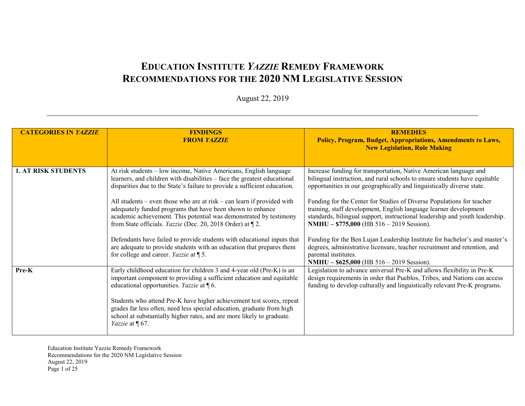## **EDUCATION INSTITUTE** *YAZZIE* **REMEDY FRAMEWORK RECOMMENDATIONS FOR THE 2020 NM LEGISLATIVE SESSION**

## August 22, 2019

| <b>CATEGORIES IN YAZZIE</b> | <b>FINDINGS</b><br><b>FROM YAZZIE</b>                                                                                                                                                                                                                                                                                                                                                                                                                    | <b>REMEDIES</b><br>Policy, Program, Budget, Appropriations, Amendments to Laws,<br><b>New Legislation, Rule Making</b>                                                                                                                                                  |
|-----------------------------|----------------------------------------------------------------------------------------------------------------------------------------------------------------------------------------------------------------------------------------------------------------------------------------------------------------------------------------------------------------------------------------------------------------------------------------------------------|-------------------------------------------------------------------------------------------------------------------------------------------------------------------------------------------------------------------------------------------------------------------------|
| <b>1. AT RISK STUDENTS</b>  | At risk students – low income, Native Americans, English language<br>learners, and children with disabilities - face the greatest educational<br>disparities due to the State's failure to provide a sufficient education.                                                                                                                                                                                                                               | Increase funding for transportation, Native American language and<br>bilingual instruction, and rural schools to ensure students have equitable<br>opportunities in our geographically and linguistically diverse state.                                                |
|                             | All students – even those who are at risk – can learn if provided with<br>adequately funded programs that have been shown to enhance<br>academic achievement. This potential was demonstrated by testimony<br>from State officials. <i>Yazzie</i> (Dec. 20, 2018 Order) at [2.                                                                                                                                                                           | Funding for the Center for Studies of Diverse Populations for teacher<br>training, staff development, English language learner development<br>standards, bilingual support, instructional leadership and youth leadership.<br>NMHU - \$775,000 (HB 516 - 2019 Session). |
|                             | Defendants have failed to provide students with educational inputs that<br>are adequate to provide students with an education that prepares them<br>for college and career. <i>Yazzie</i> at $\P$ 5.                                                                                                                                                                                                                                                     | Funding for the Ben Lujan Leadership Institute for bachelor's and master's<br>degrees, administrative licensure, teacher recruitment and retention, and<br>parental institutes.<br>NMHU - \$625,000 (HB 516 - 2019 Session).                                            |
| Pre-K                       | Early childhood education for children 3 and 4-year old (Pre-K) is an<br>important component to providing a sufficient education and equitable<br>educational opportunities. Yazzie at $\P$ 6.<br>Students who attend Pre-K have higher achievement test scores, repeat<br>grades far less often, need less special education, graduate from high<br>school at substantially higher rates, and are more likely to graduate.<br><i>Yazzie</i> at $\P$ 67. | Legislation to advance universal Pre-K and allows flexibility in Pre-K<br>design requirements in order that Pueblos, Tribes, and Nations can access<br>funding to develop culturally and linguistically relevant Pre-K programs.                                        |

Education Institute Yazzie Remedy Framework Recommendations for the 2020 NM Legislative Session August 22, 2019 Page 1 of 25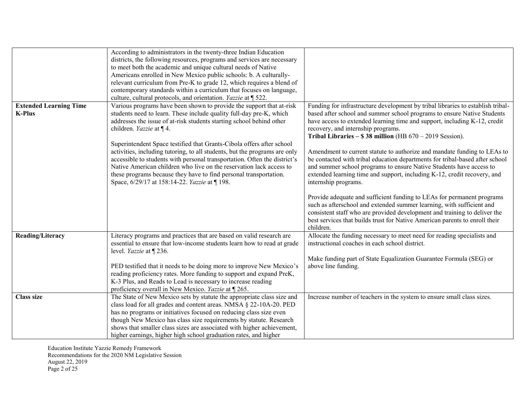|                                                | According to administrators in the twenty-three Indian Education<br>districts, the following resources, programs and services are necessary<br>to meet both the academic and unique cultural needs of Native<br>Americans enrolled in New Mexico public schools: b. A culturally-<br>relevant curriculum from Pre-K to grade 12, which requires a blend of<br>contemporary standards within a curriculum that focuses on language,     |                                                                                                                                                                                                                                                                                                                                               |
|------------------------------------------------|----------------------------------------------------------------------------------------------------------------------------------------------------------------------------------------------------------------------------------------------------------------------------------------------------------------------------------------------------------------------------------------------------------------------------------------|-----------------------------------------------------------------------------------------------------------------------------------------------------------------------------------------------------------------------------------------------------------------------------------------------------------------------------------------------|
|                                                | culture, cultural protocols, and orientation. Yazzie at 1522.                                                                                                                                                                                                                                                                                                                                                                          |                                                                                                                                                                                                                                                                                                                                               |
| <b>Extended Learning Time</b><br><b>K-Plus</b> | Various programs have been shown to provide the support that at-risk<br>students need to learn. These include quality full-day pre-K, which<br>addresses the issue of at-risk students starting school behind other<br>children. <i>Yazzie</i> at $\P$ 4.                                                                                                                                                                              | Funding for infrastructure development by tribal libraries to establish tribal-<br>based after school and summer school programs to ensure Native Students<br>have access to extended learning time and support, including K-12, credit<br>recovery, and internship programs.<br>Tribal Libraries $-$ \$38 million (HB $670 - 2019$ Session). |
|                                                | Superintendent Space testified that Grants-Cibola offers after school<br>activities, including tutoring, to all students, but the programs are only<br>accessible to students with personal transportation. Often the district's<br>Native American children who live on the reservation lack access to<br>these programs because they have to find personal transportation.<br>Space, 6/29/17 at 158:14-22. Yazzie at [198.           | Amendment to current statute to authorize and mandate funding to LEAs to<br>be contacted with tribal education departments for tribal-based after school<br>and summer school programs to ensure Native Students have access to<br>extended learning time and support, including K-12, credit recovery, and<br>internship programs.           |
|                                                |                                                                                                                                                                                                                                                                                                                                                                                                                                        | Provide adequate and sufficient funding to LEAs for permanent programs<br>such as afterschool and extended summer learning, with sufficient and<br>consistent staff who are provided development and training to deliver the<br>best services that builds trust for Native American parents to enroll their<br>children.                      |
| <b>Reading/Literacy</b>                        | Literacy programs and practices that are based on valid research are<br>essential to ensure that low-income students learn how to read at grade<br>level. <i>Yazzie</i> at $\P$ 236.                                                                                                                                                                                                                                                   | Allocate the funding necessary to meet need for reading specialists and<br>instructional coaches in each school district.                                                                                                                                                                                                                     |
|                                                | PED testified that it needs to be doing more to improve New Mexico's<br>reading proficiency rates. More funding to support and expand PreK,<br>K-3 Plus, and Reads to Lead is necessary to increase reading<br>proficiency overall in New Mexico. Yazzie at ¶ 265.                                                                                                                                                                     | Make funding part of State Equalization Guarantee Formula (SEG) or<br>above line funding.                                                                                                                                                                                                                                                     |
| <b>Class size</b>                              | The State of New Mexico sets by statute the appropriate class size and<br>class load for all grades and content areas. NMSA § 22-10A-20. PED<br>has no programs or initiatives focused on reducing class size even<br>though New Mexico has class size requirements by statute. Research<br>shows that smaller class sizes are associated with higher achievement,<br>higher earnings, higher high school graduation rates, and higher | Increase number of teachers in the system to ensure small class sizes.                                                                                                                                                                                                                                                                        |

Education Institute Yazzie Remedy Framework Recommendations for the 2020 NM Legislative Session August 22, 2019 Page 2 of 25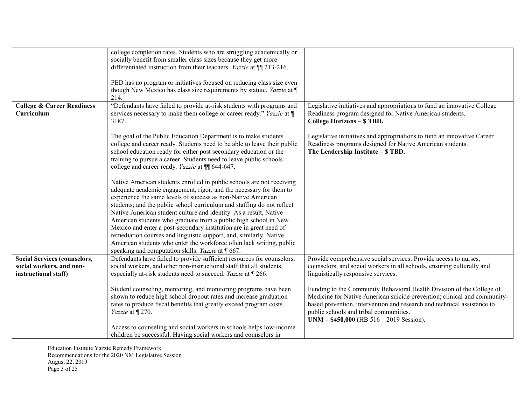|                                       | college completion rates. Students who are struggling academically or       |                                                                          |
|---------------------------------------|-----------------------------------------------------------------------------|--------------------------------------------------------------------------|
|                                       | socially benefit from smaller class sizes because they get more             |                                                                          |
|                                       | differentiated instruction from their teachers. <i>Yazzie</i> at ¶ 213-216. |                                                                          |
|                                       |                                                                             |                                                                          |
|                                       | PED has no program or initiatives focused on reducing class size even       |                                                                          |
|                                       | though New Mexico has class size requirements by statute. Yazzie at ¶       |                                                                          |
|                                       | 214.                                                                        |                                                                          |
| <b>College &amp; Career Readiness</b> | "Defendants have failed to provide at-risk students with programs and       | Legislative initiatives and appropriations to fund an innovative College |
| Curriculum                            | services necessary to make them college or career ready." Yazzie at ¶       | Readiness program designed for Native American students.                 |
|                                       |                                                                             |                                                                          |
|                                       | 3187.                                                                       | College Horizons - \$ TBD.                                               |
|                                       |                                                                             |                                                                          |
|                                       | The goal of the Public Education Department is to make students             | Legislative initiatives and appropriations to fund an innovative Career  |
|                                       | college and career ready. Students need to be able to leave their public    | Readiness programs designed for Native American students.                |
|                                       | school education ready for either post secondary education or the           | The Leadership Institute - \$ TBD.                                       |
|                                       | training to pursue a career. Students need to leave public schools          |                                                                          |
|                                       | college and career ready. Yazzie at ¶ 644-647.                              |                                                                          |
|                                       |                                                                             |                                                                          |
|                                       | Native American students enrolled in public schools are not receiving       |                                                                          |
|                                       | adequate academic engagement, rigor, and the necessary for them to          |                                                                          |
|                                       | experience the same levels of success as non-Native American                |                                                                          |
|                                       | students; and the public school curriculum and staffing do not reflect      |                                                                          |
|                                       | Native American student culture and identity. As a result, Native           |                                                                          |
|                                       | American students who graduate from a public high school in New             |                                                                          |
|                                       | Mexico and enter a post-secondary institution are in great need of          |                                                                          |
|                                       | remediation courses and linguistic support; and, similarly, Native          |                                                                          |
|                                       | American students who enter the workforce often lack writing, public        |                                                                          |
|                                       | speaking and computation skills. Yazzie at [667.                            |                                                                          |
| <b>Social Services (counselors,</b>   | Defendants have failed to provide sufficient resources for counselors,      | Provide comprehensive social services: Provide access to nurses,         |
| social workers, and non-              | social workers, and other non-instructional staff that all students,        | counselors, and social workers in all schools, ensuring culturally and   |
| instructional staff)                  | especially at-risk students need to succeed. Yazzie at [266.                | linguistically responsive services.                                      |
|                                       |                                                                             |                                                                          |
|                                       | Student counseling, mentoring, and monitoring programs have been            | Funding to the Community Behavioral Health Division of the College of    |
|                                       | shown to reduce high school dropout rates and increase graduation           | Medicine for Native American suicide prevention; clinical and community- |
|                                       | rates to produce fiscal benefits that greatly exceed program costs.         | based prevention, intervention and research and technical assistance to  |
|                                       | Yazzie at ¶ 270.                                                            | public schools and tribal communities.                                   |
|                                       |                                                                             | UNM $-$ \$450,000 (HB 516 $-$ 2019 Session).                             |
|                                       |                                                                             |                                                                          |
|                                       | Access to counseling and social workers in schools helps low-income         |                                                                          |
|                                       | children be successful. Having social workers and counselors in             |                                                                          |

Education Institute Yazzie Remedy Framework Recommendations for the 2020 NM Legislative Session August 22, 2019 Page 3 of 25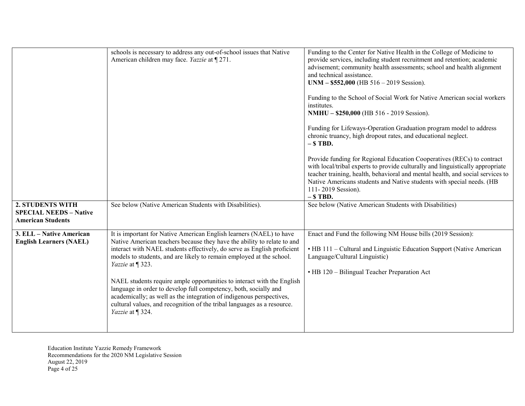|                                                                                      | schools is necessary to address any out-of-school issues that Native<br>American children may face. Yazzie at [271.                                                                                                                                                                                                                                                                                                                                                                                                                                                                                                                        | Funding to the Center for Native Health in the College of Medicine to<br>provide services, including student recruitment and retention; academic<br>advisement; community health assessments; school and health alignment<br>and technical assistance.<br>$UNM - $552,000$ (HB $516 - 2019$ Session).<br>Funding to the School of Social Work for Native American social workers<br>institutes.<br>NMHU - \$250,000 (HB 516 - 2019 Session).<br>Funding for Lifeways-Operation Graduation program model to address<br>chronic truancy, high dropout rates, and educational neglect.<br>$-$ \$ TBD.<br>Provide funding for Regional Education Cooperatives (RECs) to contract<br>with local/tribal experts to provide culturally and linguistically appropriate<br>teacher training, health, behavioral and mental health, and social services to |
|--------------------------------------------------------------------------------------|--------------------------------------------------------------------------------------------------------------------------------------------------------------------------------------------------------------------------------------------------------------------------------------------------------------------------------------------------------------------------------------------------------------------------------------------------------------------------------------------------------------------------------------------------------------------------------------------------------------------------------------------|--------------------------------------------------------------------------------------------------------------------------------------------------------------------------------------------------------------------------------------------------------------------------------------------------------------------------------------------------------------------------------------------------------------------------------------------------------------------------------------------------------------------------------------------------------------------------------------------------------------------------------------------------------------------------------------------------------------------------------------------------------------------------------------------------------------------------------------------------|
|                                                                                      |                                                                                                                                                                                                                                                                                                                                                                                                                                                                                                                                                                                                                                            | Native Americans students and Native students with special needs. (HB<br>111-2019 Session).<br>$-$ \$ TBD.                                                                                                                                                                                                                                                                                                                                                                                                                                                                                                                                                                                                                                                                                                                                       |
| <b>2. STUDENTS WITH</b><br><b>SPECIAL NEEDS - Native</b><br><b>American Students</b> | See below (Native American Students with Disabilities).                                                                                                                                                                                                                                                                                                                                                                                                                                                                                                                                                                                    | See below (Native American Students with Disabilities)                                                                                                                                                                                                                                                                                                                                                                                                                                                                                                                                                                                                                                                                                                                                                                                           |
| 3. ELL - Native American<br><b>English Learners (NAEL)</b>                           | It is important for Native American English learners (NAEL) to have<br>Native American teachers because they have the ability to relate to and<br>interact with NAEL students effectively, do serve as English proficient<br>models to students, and are likely to remain employed at the school.<br>Yazzie at ¶ 323.<br>NAEL students require ample opportunities to interact with the English<br>language in order to develop full competency, both, socially and<br>academically; as well as the integration of indigenous perspectives,<br>cultural values, and recognition of the tribal languages as a resource.<br>Yazzie at ¶ 324. | Enact and Fund the following NM House bills (2019 Session):<br>• HB 111 - Cultural and Linguistic Education Support (Native American<br>Language/Cultural Linguistic)<br>• HB 120 – Bilingual Teacher Preparation Act                                                                                                                                                                                                                                                                                                                                                                                                                                                                                                                                                                                                                            |

Education Institute Yazzie Remedy Framework Recommendations for the 2020 NM Legislative Session August 22, 2019 Page 4 of 25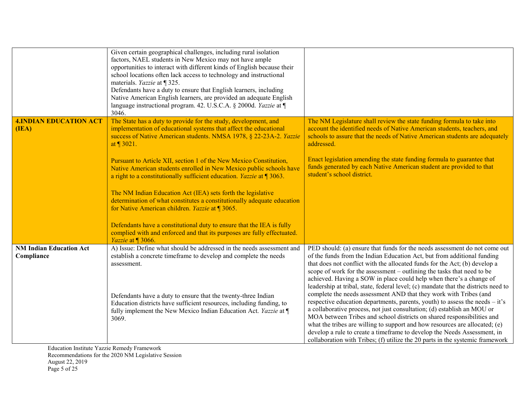|                                              | Given certain geographical challenges, including rural isolation<br>factors, NAEL students in New Mexico may not have ample<br>opportunities to interact with different kinds of English because their<br>school locations often lack access to technology and instructional<br>materials. Yazzie at ¶ 325.<br>Defendants have a duty to ensure that English learners, including<br>Native American English learners, are provided an adequate English<br>language instructional program. 42. U.S.C.A. § 2000d. Yazzie at ¶<br>3046. |                                                                                                                                                                                                                                                                                                                                                                                                                                                                                                                                                    |
|----------------------------------------------|--------------------------------------------------------------------------------------------------------------------------------------------------------------------------------------------------------------------------------------------------------------------------------------------------------------------------------------------------------------------------------------------------------------------------------------------------------------------------------------------------------------------------------------|----------------------------------------------------------------------------------------------------------------------------------------------------------------------------------------------------------------------------------------------------------------------------------------------------------------------------------------------------------------------------------------------------------------------------------------------------------------------------------------------------------------------------------------------------|
| <b>4. INDIAN EDUCATION ACT</b><br>(IEA)      | The State has a duty to provide for the study, development, and<br>implementation of educational systems that affect the educational<br>success of Native American students. NMSA 1978, § 22-23A-2. Yazzie<br>at 1 3021.                                                                                                                                                                                                                                                                                                             | The NM Legislature shall review the state funding formula to take into<br>account the identified needs of Native American students, teachers, and<br>schools to assure that the needs of Native American students are adequately<br>addressed.                                                                                                                                                                                                                                                                                                     |
|                                              | Pursuant to Article XII, section 1 of the New Mexico Constitution,<br>Native American students enrolled in New Mexico public schools have<br>a right to a constitutionally sufficient education. Yazzie at ¶ 3063.                                                                                                                                                                                                                                                                                                                   | Enact legislation amending the state funding formula to guarantee that<br>funds generated by each Native American student are provided to that<br>student's school district.                                                                                                                                                                                                                                                                                                                                                                       |
|                                              | The NM Indian Education Act (IEA) sets forth the legislative<br>determination of what constitutes a constitutionally adequate education<br>for Native American children. Yazzie at ¶ 3065.                                                                                                                                                                                                                                                                                                                                           |                                                                                                                                                                                                                                                                                                                                                                                                                                                                                                                                                    |
|                                              | Defendants have a constitutional duty to ensure that the IEA is fully<br>complied with and enforced and that its purposes are fully effectuated.<br>Yazzie at ¶ 3066.                                                                                                                                                                                                                                                                                                                                                                |                                                                                                                                                                                                                                                                                                                                                                                                                                                                                                                                                    |
| <b>NM Indian Education Act</b><br>Compliance | A) Issue: Define what should be addressed in the needs assessment and<br>establish a concrete timeframe to develop and complete the needs<br>assessment.                                                                                                                                                                                                                                                                                                                                                                             | PED should: (a) ensure that funds for the needs assessment do not come out<br>of the funds from the Indian Education Act, but from additional funding<br>that does not conflict with the allocated funds for the Act; (b) develop a<br>scope of work for the assessment – outlining the tasks that need to be<br>achieved. Having a SOW in place could help when there's a change of<br>leadership at tribal, state, federal level; (c) mandate that the districts need to                                                                         |
|                                              | Defendants have a duty to ensure that the twenty-three Indian<br>Education districts have sufficient resources, including funding, to<br>fully implement the New Mexico Indian Education Act. Yazzie at ¶<br>3069.                                                                                                                                                                                                                                                                                                                   | complete the needs assessment AND that they work with Tribes (and<br>respective education departments, parents, youth) to assess the needs – it's<br>a collaborative process, not just consultation; (d) establish an MOU or<br>MOA between Tribes and school districts on shared responsibilities and<br>what the tribes are willing to support and how resources are allocated; (e)<br>develop a rule to create a timeframe to develop the Needs Assessment, in<br>collaboration with Tribes; (f) utilize the 20 parts in the systemic framework |

Education Institute Yazzie Remedy Framework Recommendations for the 2020 NM Legislative Session August 22, 2019 Page 5 of 25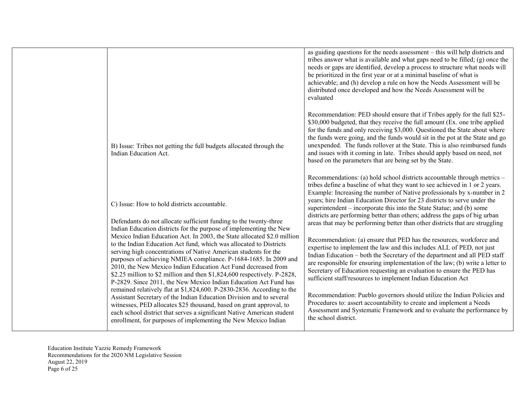|                                                                                                                                                                                                                                                                                                                                                                                                                                                                                                                                                                                                                              | as guiding questions for the needs assessment – this will help districts and<br>tribes answer what is available and what gaps need to be filled; $(g)$ once the<br>needs or gaps are identified, develop a process to structure what needs will<br>be prioritized in the first year or at a minimal baseline of what is<br>achievable; and (h) develop a rule on how the Needs Assessment will be<br>distributed once developed and how the Needs Assessment will be<br>evaluated                                                                                                                                                                                                                                                                                                                                                                                                                                                                                                                              |
|------------------------------------------------------------------------------------------------------------------------------------------------------------------------------------------------------------------------------------------------------------------------------------------------------------------------------------------------------------------------------------------------------------------------------------------------------------------------------------------------------------------------------------------------------------------------------------------------------------------------------|----------------------------------------------------------------------------------------------------------------------------------------------------------------------------------------------------------------------------------------------------------------------------------------------------------------------------------------------------------------------------------------------------------------------------------------------------------------------------------------------------------------------------------------------------------------------------------------------------------------------------------------------------------------------------------------------------------------------------------------------------------------------------------------------------------------------------------------------------------------------------------------------------------------------------------------------------------------------------------------------------------------|
| B) Issue: Tribes not getting the full budgets allocated through the<br>Indian Education Act.                                                                                                                                                                                                                                                                                                                                                                                                                                                                                                                                 | Recommendation: PED should ensure that if Tribes apply for the full \$25-<br>\$30,000 budgeted, that they receive the full amount (Ex. one tribe applied<br>for the funds and only receiving \$3,000. Questioned the State about where<br>the funds were going, and the funds would sit in the pot at the State and go<br>unexpended. The funds rollover at the State. This is also reimbursed funds<br>and issues with it coming in late. Tribes should apply based on need, not<br>based on the parameters that are being set by the State.                                                                                                                                                                                                                                                                                                                                                                                                                                                                  |
| C) Issue: How to hold districts accountable.<br>Defendants do not allocate sufficient funding to the twenty-three<br>Indian Education districts for the purpose of implementing the New<br>Mexico Indian Education Act. In 2003, the State allocated \$2.0 million<br>to the Indian Education Act fund, which was allocated to Districts<br>serving high concentrations of Native American students for the<br>purposes of achieving NMIEA compliance. P-1684-1685. In 2009 and<br>2010, the New Mexico Indian Education Act Fund decreased from<br>\$2.25 million to \$2 million and then \$1,824,600 respectively. P-2828, | Recommendations: (a) hold school districts accountable through metrics -<br>tribes define a baseline of what they want to see achieved in 1 or 2 years.<br>Example: Increasing the number of Native professionals by x-number in 2<br>years; hire Indian Education Director for 23 districts to serve under the<br>superintendent – incorporate this into the State Statue; and (b) some<br>districts are performing better than others; address the gaps of big urban<br>areas that may be performing better than other districts that are struggling<br>Recommendation: (a) ensure that PED has the resources, workforce and<br>expertise to implement the law and this includes ALL of PED, not just<br>Indian Education – both the Secretary of the department and all PED staff<br>are responsible for ensuring implementation of the law; (b) write a letter to<br>Secretary of Education requesting an evaluation to ensure the PED has<br>sufficient staff/resources to implement Indian Education Act |
| P-2829. Since 2011, the New Mexico Indian Education Act Fund has<br>remained relatively flat at \$1,824,600. P-2830-2836. According to the<br>Assistant Secretary of the Indian Education Division and to several<br>witnesses, PED allocates \$25 thousand, based on grant approval, to<br>each school district that serves a significant Native American student<br>enrollment, for purposes of implementing the New Mexico Indian                                                                                                                                                                                         | Recommendation: Pueblo governors should utilize the Indian Policies and<br>Procedures to: assert accountability to create and implement a Needs<br>Assessment and Systematic Framework and to evaluate the performance by<br>the school district.                                                                                                                                                                                                                                                                                                                                                                                                                                                                                                                                                                                                                                                                                                                                                              |

Education Institute Yazzie Remedy Framework Recommendations for the 2020 NM Legislative Session August 22, 2019 Page 6 of 25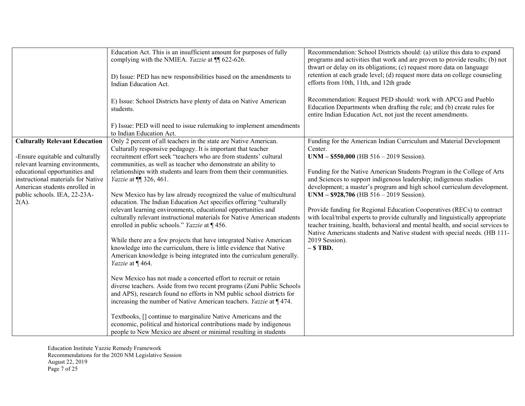|                                                                                                             | Education Act. This is an insufficient amount for purposes of fully<br>complying with the NMIEA. Yazzie at ¶ 622-626.                                                                                                                                                                       | Recommendation: School Districts should: (a) utilize this data to expand<br>programs and activities that work and are proven to provide results; (b) not                                                                                                                                                                |
|-------------------------------------------------------------------------------------------------------------|---------------------------------------------------------------------------------------------------------------------------------------------------------------------------------------------------------------------------------------------------------------------------------------------|-------------------------------------------------------------------------------------------------------------------------------------------------------------------------------------------------------------------------------------------------------------------------------------------------------------------------|
|                                                                                                             | D) Issue: PED has new responsibilities based on the amendments to<br>Indian Education Act.                                                                                                                                                                                                  | thwart or delay on its obligations; (c) request more data on language<br>retention at each grade level; (d) request more data on college counseling<br>efforts from 10th, 11th, and 12th grade                                                                                                                          |
|                                                                                                             | E) Issue: School Districts have plenty of data on Native American<br>students.                                                                                                                                                                                                              | Recommendation: Request PED should: work with APCG and Pueblo<br>Education Departments when drafting the rule; and (b) create rules for<br>entire Indian Education Act, not just the recent amendments.                                                                                                                 |
|                                                                                                             | F) Issue: PED will need to issue rulemaking to implement amendments<br>to Indian Education Act.                                                                                                                                                                                             |                                                                                                                                                                                                                                                                                                                         |
| <b>Culturally Relevant Education</b><br>-Ensure equitable and culturally<br>relevant learning environments, | Only 2 percent of all teachers in the state are Native American.<br>Culturally responsive pedagogy. It is important that teacher<br>recruitment effort seek "teachers who are from students' cultural                                                                                       | Funding for the American Indian Curriculum and Material Development<br>Center.<br>$UNM - $550,000$ (HB $516 - 2019$ Session).                                                                                                                                                                                           |
| educational opportunities and<br>instructional materials for Native<br>American students enrolled in        | communities, as well as teacher who demonstrate an ability to<br>relationships with students and learn from them their communities.<br><i>Yazzie</i> at ¶ 326, 461.                                                                                                                         | Funding for the Native American Students Program in the College of Arts<br>and Sciences to support indigenous leadership; indigenous studies<br>development; a master's program and high school curriculum development.                                                                                                 |
| public schools. IEA, 22-23A-<br>$2(A)$ .                                                                    | New Mexico has by law already recognized the value of multicultural<br>education. The Indian Education Act specifies offering "culturally                                                                                                                                                   | $UNM - $928,706$ (HB 516 - 2019 Session).                                                                                                                                                                                                                                                                               |
|                                                                                                             | relevant learning environments, educational opportunities and<br>culturally relevant instructional materials for Native American students<br>enrolled in public schools." Yazzie at ¶ 456.                                                                                                  | Provide funding for Regional Education Cooperatives (RECs) to contract<br>with local/tribal experts to provide culturally and linguistically appropriate<br>teacher training, health, behavioral and mental health, and social services to<br>Native Americans students and Native student with special needs. (HB 111- |
|                                                                                                             | While there are a few projects that have integrated Native American<br>knowledge into the curriculum, there is little evidence that Native<br>American knowledge is being integrated into the curriculum generally.<br>Yazzie at ¶464.                                                      | 2019 Session).<br>$-$ \$ TBD.                                                                                                                                                                                                                                                                                           |
|                                                                                                             | New Mexico has not made a concerted effort to recruit or retain<br>diverse teachers. Aside from two recent programs (Zuni Public Schools<br>and APS), research found no efforts in NM public school districts for<br>increasing the number of Native American teachers. Yazzie at $\P$ 474. |                                                                                                                                                                                                                                                                                                                         |
|                                                                                                             | Textbooks, [] continue to marginalize Native Americans and the<br>economic, political and historical contributions made by indigenous<br>people to New Mexico are absent or minimal resulting in students                                                                                   |                                                                                                                                                                                                                                                                                                                         |

Education Institute Yazzie Remedy Framework Recommendations for the 2020 NM Legislative Session August 22, 2019 Page 7 of 25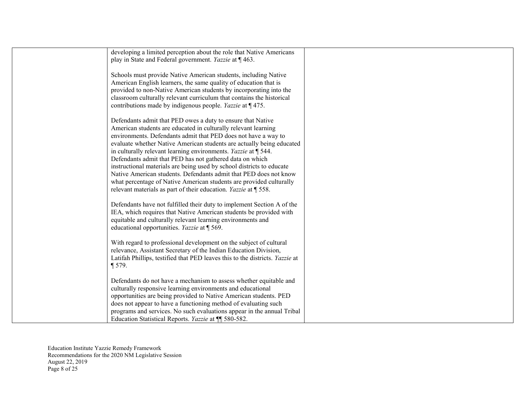| developing a limited perception about the role that Native Americans |                                                                                                                                                                                                                                                                                                                                                                                                                                                                                                                                                                                                                                                                                                                                                                                                                                                                                                                                                                                                                                                                                                                                                                                                                                                                                                                                                                                                                                                                                                                                                                                                                                                                                                     |
|----------------------------------------------------------------------|-----------------------------------------------------------------------------------------------------------------------------------------------------------------------------------------------------------------------------------------------------------------------------------------------------------------------------------------------------------------------------------------------------------------------------------------------------------------------------------------------------------------------------------------------------------------------------------------------------------------------------------------------------------------------------------------------------------------------------------------------------------------------------------------------------------------------------------------------------------------------------------------------------------------------------------------------------------------------------------------------------------------------------------------------------------------------------------------------------------------------------------------------------------------------------------------------------------------------------------------------------------------------------------------------------------------------------------------------------------------------------------------------------------------------------------------------------------------------------------------------------------------------------------------------------------------------------------------------------------------------------------------------------------------------------------------------------|
|                                                                      |                                                                                                                                                                                                                                                                                                                                                                                                                                                                                                                                                                                                                                                                                                                                                                                                                                                                                                                                                                                                                                                                                                                                                                                                                                                                                                                                                                                                                                                                                                                                                                                                                                                                                                     |
|                                                                      |                                                                                                                                                                                                                                                                                                                                                                                                                                                                                                                                                                                                                                                                                                                                                                                                                                                                                                                                                                                                                                                                                                                                                                                                                                                                                                                                                                                                                                                                                                                                                                                                                                                                                                     |
| Schools must provide Native American students, including Native      |                                                                                                                                                                                                                                                                                                                                                                                                                                                                                                                                                                                                                                                                                                                                                                                                                                                                                                                                                                                                                                                                                                                                                                                                                                                                                                                                                                                                                                                                                                                                                                                                                                                                                                     |
| American English learners, the same quality of education that is     |                                                                                                                                                                                                                                                                                                                                                                                                                                                                                                                                                                                                                                                                                                                                                                                                                                                                                                                                                                                                                                                                                                                                                                                                                                                                                                                                                                                                                                                                                                                                                                                                                                                                                                     |
| provided to non-Native American students by incorporating into the   |                                                                                                                                                                                                                                                                                                                                                                                                                                                                                                                                                                                                                                                                                                                                                                                                                                                                                                                                                                                                                                                                                                                                                                                                                                                                                                                                                                                                                                                                                                                                                                                                                                                                                                     |
|                                                                      |                                                                                                                                                                                                                                                                                                                                                                                                                                                                                                                                                                                                                                                                                                                                                                                                                                                                                                                                                                                                                                                                                                                                                                                                                                                                                                                                                                                                                                                                                                                                                                                                                                                                                                     |
|                                                                      |                                                                                                                                                                                                                                                                                                                                                                                                                                                                                                                                                                                                                                                                                                                                                                                                                                                                                                                                                                                                                                                                                                                                                                                                                                                                                                                                                                                                                                                                                                                                                                                                                                                                                                     |
|                                                                      |                                                                                                                                                                                                                                                                                                                                                                                                                                                                                                                                                                                                                                                                                                                                                                                                                                                                                                                                                                                                                                                                                                                                                                                                                                                                                                                                                                                                                                                                                                                                                                                                                                                                                                     |
|                                                                      |                                                                                                                                                                                                                                                                                                                                                                                                                                                                                                                                                                                                                                                                                                                                                                                                                                                                                                                                                                                                                                                                                                                                                                                                                                                                                                                                                                                                                                                                                                                                                                                                                                                                                                     |
|                                                                      |                                                                                                                                                                                                                                                                                                                                                                                                                                                                                                                                                                                                                                                                                                                                                                                                                                                                                                                                                                                                                                                                                                                                                                                                                                                                                                                                                                                                                                                                                                                                                                                                                                                                                                     |
|                                                                      |                                                                                                                                                                                                                                                                                                                                                                                                                                                                                                                                                                                                                                                                                                                                                                                                                                                                                                                                                                                                                                                                                                                                                                                                                                                                                                                                                                                                                                                                                                                                                                                                                                                                                                     |
|                                                                      |                                                                                                                                                                                                                                                                                                                                                                                                                                                                                                                                                                                                                                                                                                                                                                                                                                                                                                                                                                                                                                                                                                                                                                                                                                                                                                                                                                                                                                                                                                                                                                                                                                                                                                     |
|                                                                      |                                                                                                                                                                                                                                                                                                                                                                                                                                                                                                                                                                                                                                                                                                                                                                                                                                                                                                                                                                                                                                                                                                                                                                                                                                                                                                                                                                                                                                                                                                                                                                                                                                                                                                     |
|                                                                      |                                                                                                                                                                                                                                                                                                                                                                                                                                                                                                                                                                                                                                                                                                                                                                                                                                                                                                                                                                                                                                                                                                                                                                                                                                                                                                                                                                                                                                                                                                                                                                                                                                                                                                     |
|                                                                      |                                                                                                                                                                                                                                                                                                                                                                                                                                                                                                                                                                                                                                                                                                                                                                                                                                                                                                                                                                                                                                                                                                                                                                                                                                                                                                                                                                                                                                                                                                                                                                                                                                                                                                     |
|                                                                      |                                                                                                                                                                                                                                                                                                                                                                                                                                                                                                                                                                                                                                                                                                                                                                                                                                                                                                                                                                                                                                                                                                                                                                                                                                                                                                                                                                                                                                                                                                                                                                                                                                                                                                     |
|                                                                      |                                                                                                                                                                                                                                                                                                                                                                                                                                                                                                                                                                                                                                                                                                                                                                                                                                                                                                                                                                                                                                                                                                                                                                                                                                                                                                                                                                                                                                                                                                                                                                                                                                                                                                     |
|                                                                      |                                                                                                                                                                                                                                                                                                                                                                                                                                                                                                                                                                                                                                                                                                                                                                                                                                                                                                                                                                                                                                                                                                                                                                                                                                                                                                                                                                                                                                                                                                                                                                                                                                                                                                     |
|                                                                      |                                                                                                                                                                                                                                                                                                                                                                                                                                                                                                                                                                                                                                                                                                                                                                                                                                                                                                                                                                                                                                                                                                                                                                                                                                                                                                                                                                                                                                                                                                                                                                                                                                                                                                     |
|                                                                      |                                                                                                                                                                                                                                                                                                                                                                                                                                                                                                                                                                                                                                                                                                                                                                                                                                                                                                                                                                                                                                                                                                                                                                                                                                                                                                                                                                                                                                                                                                                                                                                                                                                                                                     |
|                                                                      |                                                                                                                                                                                                                                                                                                                                                                                                                                                                                                                                                                                                                                                                                                                                                                                                                                                                                                                                                                                                                                                                                                                                                                                                                                                                                                                                                                                                                                                                                                                                                                                                                                                                                                     |
|                                                                      |                                                                                                                                                                                                                                                                                                                                                                                                                                                                                                                                                                                                                                                                                                                                                                                                                                                                                                                                                                                                                                                                                                                                                                                                                                                                                                                                                                                                                                                                                                                                                                                                                                                                                                     |
|                                                                      |                                                                                                                                                                                                                                                                                                                                                                                                                                                                                                                                                                                                                                                                                                                                                                                                                                                                                                                                                                                                                                                                                                                                                                                                                                                                                                                                                                                                                                                                                                                                                                                                                                                                                                     |
|                                                                      |                                                                                                                                                                                                                                                                                                                                                                                                                                                                                                                                                                                                                                                                                                                                                                                                                                                                                                                                                                                                                                                                                                                                                                                                                                                                                                                                                                                                                                                                                                                                                                                                                                                                                                     |
|                                                                      |                                                                                                                                                                                                                                                                                                                                                                                                                                                                                                                                                                                                                                                                                                                                                                                                                                                                                                                                                                                                                                                                                                                                                                                                                                                                                                                                                                                                                                                                                                                                                                                                                                                                                                     |
|                                                                      |                                                                                                                                                                                                                                                                                                                                                                                                                                                                                                                                                                                                                                                                                                                                                                                                                                                                                                                                                                                                                                                                                                                                                                                                                                                                                                                                                                                                                                                                                                                                                                                                                                                                                                     |
|                                                                      |                                                                                                                                                                                                                                                                                                                                                                                                                                                                                                                                                                                                                                                                                                                                                                                                                                                                                                                                                                                                                                                                                                                                                                                                                                                                                                                                                                                                                                                                                                                                                                                                                                                                                                     |
|                                                                      |                                                                                                                                                                                                                                                                                                                                                                                                                                                                                                                                                                                                                                                                                                                                                                                                                                                                                                                                                                                                                                                                                                                                                                                                                                                                                                                                                                                                                                                                                                                                                                                                                                                                                                     |
|                                                                      |                                                                                                                                                                                                                                                                                                                                                                                                                                                                                                                                                                                                                                                                                                                                                                                                                                                                                                                                                                                                                                                                                                                                                                                                                                                                                                                                                                                                                                                                                                                                                                                                                                                                                                     |
|                                                                      |                                                                                                                                                                                                                                                                                                                                                                                                                                                                                                                                                                                                                                                                                                                                                                                                                                                                                                                                                                                                                                                                                                                                                                                                                                                                                                                                                                                                                                                                                                                                                                                                                                                                                                     |
| culturally responsive learning environments and educational          |                                                                                                                                                                                                                                                                                                                                                                                                                                                                                                                                                                                                                                                                                                                                                                                                                                                                                                                                                                                                                                                                                                                                                                                                                                                                                                                                                                                                                                                                                                                                                                                                                                                                                                     |
|                                                                      |                                                                                                                                                                                                                                                                                                                                                                                                                                                                                                                                                                                                                                                                                                                                                                                                                                                                                                                                                                                                                                                                                                                                                                                                                                                                                                                                                                                                                                                                                                                                                                                                                                                                                                     |
|                                                                      |                                                                                                                                                                                                                                                                                                                                                                                                                                                                                                                                                                                                                                                                                                                                                                                                                                                                                                                                                                                                                                                                                                                                                                                                                                                                                                                                                                                                                                                                                                                                                                                                                                                                                                     |
|                                                                      |                                                                                                                                                                                                                                                                                                                                                                                                                                                                                                                                                                                                                                                                                                                                                                                                                                                                                                                                                                                                                                                                                                                                                                                                                                                                                                                                                                                                                                                                                                                                                                                                                                                                                                     |
| Education Statistical Reports. Yazzie at ¶ 580-582.                  |                                                                                                                                                                                                                                                                                                                                                                                                                                                                                                                                                                                                                                                                                                                                                                                                                                                                                                                                                                                                                                                                                                                                                                                                                                                                                                                                                                                                                                                                                                                                                                                                                                                                                                     |
|                                                                      | play in State and Federal government. Yazzie at ¶ 463.<br>classroom culturally relevant curriculum that contains the historical<br>contributions made by indigenous people. Yazzie at ¶475.<br>Defendants admit that PED owes a duty to ensure that Native<br>American students are educated in culturally relevant learning<br>environments. Defendants admit that PED does not have a way to<br>evaluate whether Native American students are actually being educated<br>in culturally relevant learning environments. Yazzie at $\P$ 544.<br>Defendants admit that PED has not gathered data on which<br>instructional materials are being used by school districts to educate<br>Native American students. Defendants admit that PED does not know<br>what percentage of Native American students are provided culturally<br>relevant materials as part of their education. <i>Yazzie</i> at 1558.<br>Defendants have not fulfilled their duty to implement Section A of the<br>IEA, which requires that Native American students be provided with<br>equitable and culturally relevant learning environments and<br>educational opportunities. Yazzie at ¶ 569.<br>With regard to professional development on the subject of cultural<br>relevance, Assistant Secretary of the Indian Education Division,<br>Latifah Phillips, testified that PED leaves this to the districts. Yazzie at<br>$\P$ 579.<br>Defendants do not have a mechanism to assess whether equitable and<br>opportunities are being provided to Native American students. PED<br>does not appear to have a functioning method of evaluating such<br>programs and services. No such evaluations appear in the annual Tribal |

Education Institute Yazzie Remedy Framework Recommendations for the 2020 NM Legislative Session August 22, 2019 Page 8 of 25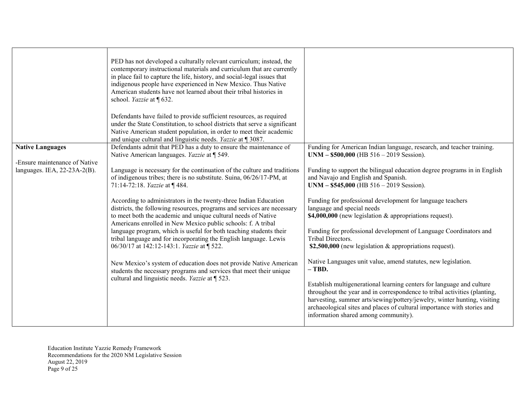|                                                                                             | PED has not developed a culturally relevant curriculum; instead, the<br>contemporary instructional materials and curriculum that are currently<br>in place fail to capture the life, history, and social-legal issues that<br>indigenous people have experienced in New Mexico. Thus Native<br>American students have not learned about their tribal histories in<br>school. Yazzie at [632.<br>Defendants have failed to provide sufficient resources, as required<br>under the State Constitution, to school districts that serve a significant<br>Native American student population, in order to meet their academic<br>and unique cultural and linguistic needs. Yazzie at $\P$ 3087.                                                                                                                                                                                                                                                                                   |                                                                                                                                                                                                                                                                                                                                                                                                                                                                                                                                                                                                                                                                                                                                                                                                                                                                                                                      |
|---------------------------------------------------------------------------------------------|------------------------------------------------------------------------------------------------------------------------------------------------------------------------------------------------------------------------------------------------------------------------------------------------------------------------------------------------------------------------------------------------------------------------------------------------------------------------------------------------------------------------------------------------------------------------------------------------------------------------------------------------------------------------------------------------------------------------------------------------------------------------------------------------------------------------------------------------------------------------------------------------------------------------------------------------------------------------------|----------------------------------------------------------------------------------------------------------------------------------------------------------------------------------------------------------------------------------------------------------------------------------------------------------------------------------------------------------------------------------------------------------------------------------------------------------------------------------------------------------------------------------------------------------------------------------------------------------------------------------------------------------------------------------------------------------------------------------------------------------------------------------------------------------------------------------------------------------------------------------------------------------------------|
| <b>Native Languages</b><br>-Ensure maintenance of Native<br>languages. IEA, $22-23A-2(B)$ . | Defendants admit that PED has a duty to ensure the maintenance of<br>Native American languages. Yazzie at ¶ 549.<br>Language is necessary for the continuation of the culture and traditions<br>of indigenous tribes; there is no substitute. Suina, 06/26/17-PM, at<br>71:14-72:18. Yazzie at ¶484.<br>According to administrators in the twenty-three Indian Education<br>districts, the following resources, programs and services are necessary<br>to meet both the academic and unique cultural needs of Native<br>Americans enrolled in New Mexico public schools: f. A tribal<br>language program, which is useful for both teaching students their<br>tribal language and for incorporating the English language. Lewis<br>06/30/17 at 142:12-143:1. Yazzie at [ 522.<br>New Mexico's system of education does not provide Native American<br>students the necessary programs and services that meet their unique<br>cultural and linguistic needs. Yazzie at ¶ 523. | Funding for American Indian language, research, and teacher training.<br>$UNM - $500,000$ (HB $516 - 2019$ Session).<br>Funding to support the bilingual education degree programs in in English<br>and Navajo and English and Spanish.<br>$UNM - $545,000$ (HB $516 - 2019$ Session).<br>Funding for professional development for language teachers<br>language and special needs<br>\$4,000,000 (new legislation & appropriations request).<br>Funding for professional development of Language Coordinators and<br>Tribal Directors.<br>\$2,500,000 (new legislation $\&$ appropriations request).<br>Native Languages unit value, amend statutes, new legislation.<br>$-$ TBD.<br>Establish multigenerational learning centers for language and culture<br>throughout the year and in correspondence to tribal activities (planting,<br>harvesting, summer arts/sewing/pottery/jewelry, winter hunting, visiting |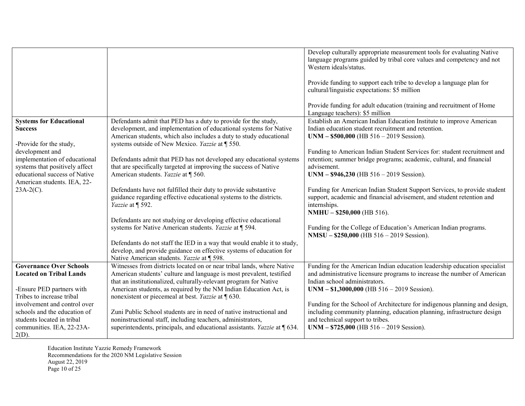|                                            |                                                                                                                      | Develop culturally appropriate measurement tools for evaluating Native<br>language programs guided by tribal core values and competency and not<br>Western ideals/status. |
|--------------------------------------------|----------------------------------------------------------------------------------------------------------------------|---------------------------------------------------------------------------------------------------------------------------------------------------------------------------|
|                                            |                                                                                                                      | Provide funding to support each tribe to develop a language plan for<br>cultural/linguistic expectations: \$5 million                                                     |
|                                            |                                                                                                                      | Provide funding for adult education (training and recruitment of Home<br>Language teachers): \$5 million                                                                  |
| <b>Systems for Educational</b>             | Defendants admit that PED has a duty to provide for the study,                                                       | Establish an American Indian Education Institute to improve American                                                                                                      |
| <b>Success</b>                             | development, and implementation of educational systems for Native                                                    | Indian education student recruitment and retention.                                                                                                                       |
|                                            | American students, which also includes a duty to study educational                                                   | $UNM - $500,000$ (HB $516 - 2019$ Session).                                                                                                                               |
| -Provide for the study,<br>development and | systems outside of New Mexico. Yazzie at ¶ 550.                                                                      | Funding to American Indian Student Services for: student recruitment and                                                                                                  |
| implementation of educational              | Defendants admit that PED has not developed any educational systems                                                  | retention; summer bridge programs; academic, cultural, and financial                                                                                                      |
| systems that positively affect             | that are specifically targeted at improving the success of Native                                                    | advisement.                                                                                                                                                               |
| educational success of Native              | American students. Yazzie at ¶ 560.                                                                                  | $UNM - $946,230$ (HB 516 - 2019 Session).                                                                                                                                 |
| American students. IEA, 22-                |                                                                                                                      |                                                                                                                                                                           |
| $23A-2(C)$ .                               | Defendants have not fulfilled their duty to provide substantive                                                      | Funding for American Indian Student Support Services, to provide student                                                                                                  |
|                                            | guidance regarding effective educational systems to the districts.                                                   | support, academic and financial advisement, and student retention and                                                                                                     |
|                                            | Yazzie at ¶ 592.                                                                                                     | internships.                                                                                                                                                              |
|                                            |                                                                                                                      | NMHU - \$250,000 (HB 516).                                                                                                                                                |
|                                            | Defendants are not studying or developing effective educational                                                      |                                                                                                                                                                           |
|                                            | systems for Native American students. Yazzie at ¶ 594.                                                               | Funding for the College of Education's American Indian programs.                                                                                                          |
|                                            |                                                                                                                      | $NMSU - $250,000$ (HB $516 - 2019$ Session).                                                                                                                              |
|                                            | Defendants do not staff the IED in a way that would enable it to study,                                              |                                                                                                                                                                           |
|                                            | develop, and provide guidance on effective systems of education for                                                  |                                                                                                                                                                           |
| <b>Governance Over Schools</b>             | Native American students. Yazzie at ¶ 598.<br>Witnesses from districts located on or near tribal lands, where Native | Funding for the American Indian education leadership education specialist                                                                                                 |
| <b>Located on Tribal Lands</b>             | American students' culture and language is most prevalent, testified                                                 | and administrative licensure programs to increase the number of American                                                                                                  |
|                                            | that an institutionalized, culturally-relevant program for Native                                                    | Indian school administrators.                                                                                                                                             |
| -Ensure PED partners with                  | American students, as required by the NM Indian Education Act, is                                                    | $UNM - $1,3000,000$ (HB $516 - 2019$ Session).                                                                                                                            |
| Tribes to increase tribal                  | nonexistent or piecemeal at best. Yazzie at $\sqrt{630}$ .                                                           |                                                                                                                                                                           |
| involvement and control over               |                                                                                                                      | Funding for the School of Architecture for indigenous planning and design,                                                                                                |
| schools and the education of               | Zuni Public School students are in need of native instructional and                                                  | including community planning, education planning, infrastructure design                                                                                                   |
| students located in tribal                 | noninstructional staff, including teachers, administrators,                                                          | and technical support to tribes.                                                                                                                                          |
| communities. IEA, 22-23A-                  | superintendents, principals, and educational assistants. Yazzie at $\sqrt{9}$ 634.                                   | $UNM - $725,000$ (HB $516 - 2019$ Session).                                                                                                                               |
| $2(D)$ .                                   |                                                                                                                      |                                                                                                                                                                           |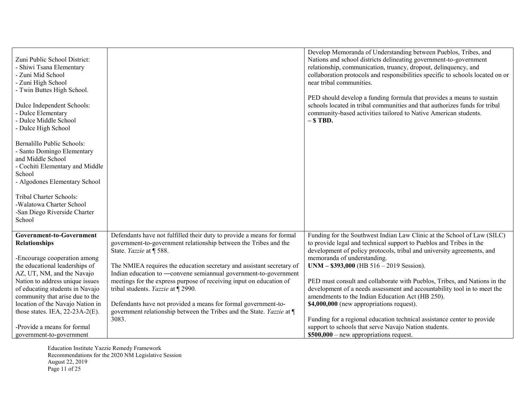| Zuni Public School District:<br>- Shiwi Tsana Elementary<br>- Zuni Mid School<br>- Zuni High School<br>- Twin Buttes High School.<br>Dulce Independent Schools:<br>- Dulce Elementary<br>- Dulce Middle School<br>- Dulce High School<br>Bernalillo Public Schools:<br>- Santo Domingo Elementary<br>and Middle School<br>- Cochiti Elementary and Middle<br>School<br>- Algodones Elementary School |                                                                                                                                                                                                                                                                                                                                                                                                                                                                                                                                                                                     | Develop Memoranda of Understanding between Pueblos, Tribes, and<br>Nations and school districts delineating government-to-government<br>relationship, communication, truancy, dropout, delinquency, and<br>collaboration protocols and responsibilities specific to schools located on or<br>near tribal communities.<br>PED should develop a funding formula that provides a means to sustain<br>schools located in tribal communities and that authorizes funds for tribal<br>community-based activities tailored to Native American students.<br>$-$ \$ TBD.                                                                                                                                      |
|------------------------------------------------------------------------------------------------------------------------------------------------------------------------------------------------------------------------------------------------------------------------------------------------------------------------------------------------------------------------------------------------------|-------------------------------------------------------------------------------------------------------------------------------------------------------------------------------------------------------------------------------------------------------------------------------------------------------------------------------------------------------------------------------------------------------------------------------------------------------------------------------------------------------------------------------------------------------------------------------------|------------------------------------------------------------------------------------------------------------------------------------------------------------------------------------------------------------------------------------------------------------------------------------------------------------------------------------------------------------------------------------------------------------------------------------------------------------------------------------------------------------------------------------------------------------------------------------------------------------------------------------------------------------------------------------------------------|
| Tribal Charter Schools:<br>-Walatowa Charter School<br>-San Diego Riverside Charter<br>School                                                                                                                                                                                                                                                                                                        |                                                                                                                                                                                                                                                                                                                                                                                                                                                                                                                                                                                     |                                                                                                                                                                                                                                                                                                                                                                                                                                                                                                                                                                                                                                                                                                      |
| Government-to-Government<br>Relationships<br>-Encourage cooperation among<br>the educational leaderships of<br>AZ, UT, NM, and the Navajo<br>Nation to address unique issues<br>of educating students in Navajo<br>community that arise due to the<br>location of the Navajo Nation in<br>those states. IEA, $22-23A-2(E)$ .<br>-Provide a means for formal                                          | Defendants have not fulfilled their duty to provide a means for formal<br>government-to-government relationship between the Tribes and the<br>State. Yazzie at ¶ 588.<br>The NMIEA requires the education secretary and assistant secretary of<br>Indian education to —convene semiannual government-to-government<br>meetings for the express purpose of receiving input on education of<br>tribal students. Yazzie at ¶ 2990.<br>Defendants have not provided a means for formal government-to-<br>government relationship between the Tribes and the State. Yazzie at ¶<br>3083. | Funding for the Southwest Indian Law Clinic at the School of Law (SILC)<br>to provide legal and technical support to Pueblos and Tribes in the<br>development of policy protocols, tribal and university agreements, and<br>memoranda of understanding.<br>$UNM - $393,000$ (HB $516 - 2019$ Session).<br>PED must consult and collaborate with Pueblos, Tribes, and Nations in the<br>development of a needs assessment and accountability tool in to meet the<br>amendments to the Indian Education Act (HB 250).<br>\$4,000,000 (new appropriations request).<br>Funding for a regional education technical assistance center to provide<br>support to schools that serve Navajo Nation students. |
| government-to-government                                                                                                                                                                                                                                                                                                                                                                             |                                                                                                                                                                                                                                                                                                                                                                                                                                                                                                                                                                                     | $$500,000$ – new appropriations request.                                                                                                                                                                                                                                                                                                                                                                                                                                                                                                                                                                                                                                                             |

Education Institute Yazzie Remedy Framework Recommendations for the 2020 NM Legislative Session August 22, 2019 Page 11 of 25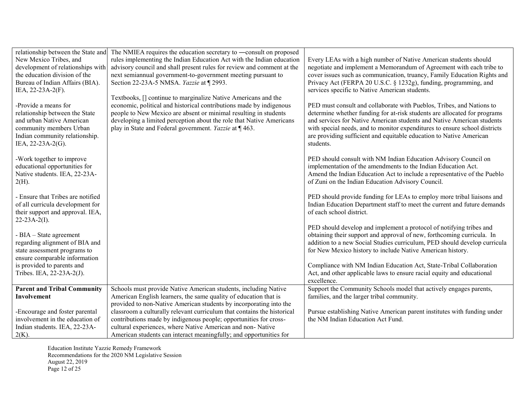| relationship between the State and<br>New Mexico Tribes, and<br>development of relationships with<br>the education division of the<br>Bureau of Indian Affairs (BIA).<br>IEA, 22-23A-2(F). | The NMIEA requires the education secretary to —consult on proposed<br>rules implementing the Indian Education Act with the Indian education<br>advisory council and shall present rules for review and comment at the<br>next semiannual government-to-government meeting pursuant to<br>Section 22-23A-5 NMSA. Yazzie at ¶ 2993.<br>Textbooks, [] continue to marginalize Native Americans and the | Every LEAs with a high number of Native American students should<br>negotiate and implement a Memorandum of Agreement with each tribe to<br>cover issues such as communication, truancy, Family Education Rights and<br>Privacy Act (FERPA 20 U.S.C. § 1232g), funding, programming, and<br>services specific to Native American students.                                                     |
|--------------------------------------------------------------------------------------------------------------------------------------------------------------------------------------------|-----------------------------------------------------------------------------------------------------------------------------------------------------------------------------------------------------------------------------------------------------------------------------------------------------------------------------------------------------------------------------------------------------|------------------------------------------------------------------------------------------------------------------------------------------------------------------------------------------------------------------------------------------------------------------------------------------------------------------------------------------------------------------------------------------------|
| -Provide a means for<br>relationship between the State<br>and urban Native American<br>community members Urban<br>Indian community relationship.<br>IEA, 22-23A-2(G).                      | economic, political and historical contributions made by indigenous<br>people to New Mexico are absent or minimal resulting in students<br>developing a limited perception about the role that Native Americans<br>play in State and Federal government. Yazzie at ¶ 463.                                                                                                                           | PED must consult and collaborate with Pueblos, Tribes, and Nations to<br>determine whether funding for at-risk students are allocated for programs<br>and services for Native American students and Native American students<br>with special needs, and to monitor expenditures to ensure school districts<br>are providing sufficient and equitable education to Native American<br>students. |
| -Work together to improve<br>educational opportunities for<br>Native students. IEA, 22-23A-<br>$2(H)$ .                                                                                    |                                                                                                                                                                                                                                                                                                                                                                                                     | PED should consult with NM Indian Education Advisory Council on<br>implementation of the amendments to the Indian Education Act.<br>Amend the Indian Education Act to include a representative of the Pueblo<br>of Zuni on the Indian Education Advisory Council.                                                                                                                              |
| - Ensure that Tribes are notified<br>of all curricula development for<br>their support and approval. IEA,<br>$22 - 23A - 2(I)$ .                                                           |                                                                                                                                                                                                                                                                                                                                                                                                     | PED should provide funding for LEAs to employ more tribal liaisons and<br>Indian Education Department staff to meet the current and future demands<br>of each school district.                                                                                                                                                                                                                 |
| - BIA – State agreement<br>regarding alignment of BIA and<br>state assessment programs to<br>ensure comparable information                                                                 |                                                                                                                                                                                                                                                                                                                                                                                                     | PED should develop and implement a protocol of notifying tribes and<br>obtaining their support and approval of new, forthcoming curricula. In<br>addition to a new Social Studies curriculum, PED should develop curricula<br>for New Mexico history to include Native American history.                                                                                                       |
| is provided to parents and<br>Tribes. IEA, 22-23A-2(J).                                                                                                                                    |                                                                                                                                                                                                                                                                                                                                                                                                     | Compliance with NM Indian Education Act, State-Tribal Collaboration<br>Act, and other applicable laws to ensure racial equity and educational<br>excellence.                                                                                                                                                                                                                                   |
| <b>Parent and Tribal Community</b>                                                                                                                                                         | Schools must provide Native American students, including Native                                                                                                                                                                                                                                                                                                                                     | Support the Community Schools model that actively engages parents,                                                                                                                                                                                                                                                                                                                             |
| Involvement                                                                                                                                                                                | American English learners, the same quality of education that is                                                                                                                                                                                                                                                                                                                                    | families, and the larger tribal community.                                                                                                                                                                                                                                                                                                                                                     |
|                                                                                                                                                                                            | provided to non-Native American students by incorporating into the                                                                                                                                                                                                                                                                                                                                  |                                                                                                                                                                                                                                                                                                                                                                                                |
| -Encourage and foster parental                                                                                                                                                             | classroom a culturally relevant curriculum that contains the historical                                                                                                                                                                                                                                                                                                                             | Pursue establishing Native American parent institutes with funding under                                                                                                                                                                                                                                                                                                                       |
| involvement in the education of                                                                                                                                                            | contributions made by indigenous people; opportunities for cross-                                                                                                                                                                                                                                                                                                                                   | the NM Indian Education Act Fund.                                                                                                                                                                                                                                                                                                                                                              |
| Indian students. IEA, 22-23A-                                                                                                                                                              | cultural experiences, where Native American and non-Native                                                                                                                                                                                                                                                                                                                                          |                                                                                                                                                                                                                                                                                                                                                                                                |
| $2(K)$ .                                                                                                                                                                                   | American students can interact meaningfully; and opportunities for                                                                                                                                                                                                                                                                                                                                  |                                                                                                                                                                                                                                                                                                                                                                                                |

Education Institute Yazzie Remedy Framework Recommendations for the 2020 NM Legislative Session August 22, 2019 Page 12 of 25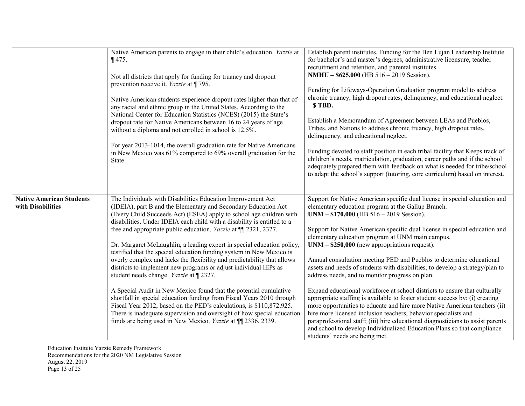|                                                      | Native American parents to engage in their child's education. Yazzie at<br>$\P$ 475.<br>Not all districts that apply for funding for truancy and dropout<br>prevention receive it. Yazzie at ¶795.<br>Native American students experience dropout rates higher than that of<br>any racial and ethnic group in the United States. According to the<br>National Center for Education Statistics (NCES) (2015) the State's<br>dropout rate for Native Americans between 16 to 24 years of age<br>without a diploma and not enrolled in school is 12.5%.<br>For year 2013-1014, the overall graduation rate for Native Americans<br>in New Mexico was 61% compared to 69% overall graduation for the<br>State.                                                                                                                                                                                                                                                                                                                                                          | Establish parent institutes. Funding for the Ben Lujan Leadership Institute<br>for bachelor's and master's degrees, administrative licensure, teacher<br>recruitment and retention, and parental institutes.<br>NMHU - \$625,000 (HB 516 - 2019 Session).<br>Funding for Lifeways-Operation Graduation program model to address<br>chronic truancy, high dropout rates, delinquency, and educational neglect.<br>$-$ \$ TBD.<br>Establish a Memorandum of Agreement between LEAs and Pueblos,<br>Tribes, and Nations to address chronic truancy, high dropout rates,<br>delinquency, and educational neglect.<br>Funding devoted to staff position in each tribal facility that Keeps track of<br>children's needs, matriculation, graduation, career paths and if the school<br>adequately prepared them with feedback on what is needed for tribe/school<br>to adapt the school's support (tutoring, core curriculum) based on interest.                                                                                                                                                    |
|------------------------------------------------------|---------------------------------------------------------------------------------------------------------------------------------------------------------------------------------------------------------------------------------------------------------------------------------------------------------------------------------------------------------------------------------------------------------------------------------------------------------------------------------------------------------------------------------------------------------------------------------------------------------------------------------------------------------------------------------------------------------------------------------------------------------------------------------------------------------------------------------------------------------------------------------------------------------------------------------------------------------------------------------------------------------------------------------------------------------------------|-----------------------------------------------------------------------------------------------------------------------------------------------------------------------------------------------------------------------------------------------------------------------------------------------------------------------------------------------------------------------------------------------------------------------------------------------------------------------------------------------------------------------------------------------------------------------------------------------------------------------------------------------------------------------------------------------------------------------------------------------------------------------------------------------------------------------------------------------------------------------------------------------------------------------------------------------------------------------------------------------------------------------------------------------------------------------------------------------|
| <b>Native American Students</b><br>with Disabilities | The Individuals with Disabilities Education Improvement Act<br>(IDEIA), part B and the Elementary and Secondary Education Act<br>(Every Child Succeeds Act) (ESEA) apply to school age children with<br>disabilities. Under IDEIA each child with a disability is entitled to a<br>free and appropriate public education. <i>Yazzie</i> at ¶ 2321, 2327.<br>Dr. Margaret McLaughlin, a leading expert in special education policy,<br>testified that the special education funding system in New Mexico is<br>overly complex and lacks the flexibility and predictability that allows<br>districts to implement new programs or adjust individual IEPs as<br>student needs change. Yazzie at ¶ 2327.<br>A Special Audit in New Mexico found that the potential cumulative<br>shortfall in special education funding from Fiscal Years 2010 through<br>Fiscal Year 2012, based on the PED's calculations, is \$110,872,925.<br>There is inadequate supervision and oversight of how special education<br>funds are being used in New Mexico. Yazzie at ¶ 2336, 2339. | Support for Native American specific dual license in special education and<br>elementary education program at the Gallup Branch.<br>$UNM - $170,000$ (HB $516 - 2019$ Session).<br>Support for Native American specific dual license in special education and<br>elementary education program at UNM main campus.<br>$UNM - $250,000$ (new appropriations request).<br>Annual consultation meeting PED and Pueblos to determine educational<br>assets and needs of students with disabilities, to develop a strategy/plan to<br>address needs, and to monitor progress on plan.<br>Expand educational workforce at school districts to ensure that culturally<br>appropriate staffing is available to foster student success by: (i) creating<br>more opportunities to educate and hire more Native American teachers (ii)<br>hire more licensed inclusion teachers, behavior specialists and<br>paraprofessional staff; (iii) hire educational diagnosticians to assist parents<br>and school to develop Individualized Education Plans so that compliance<br>students' needs are being met. |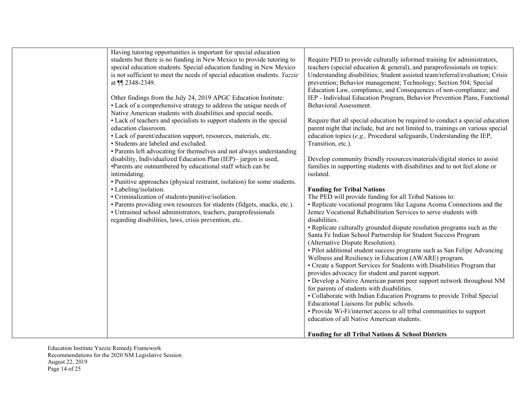| Having tutoring opportunities is important for special education<br>students but there is no funding in New Mexico to provide tutoring to<br>special education students. Special education funding in New Mexico<br>is not sufficient to meet the needs of special education students. Yazzie<br>at 11 2348-2349.<br>Other findings from the July 24, 2019 APGC Education Institute:<br>• Lack of a comprehensive strategy to address the unique needs of<br>Native American students with disabilities and special needs.<br>• Lack of teachers and specialists to support students in the special<br>education classroom.<br>· Lack of parent/education support, resources, materials, etc.<br>· Students are labeled and excluded.<br>• Parents left advocating for themselves and not always understanding<br>disability, Individualized Education Plan (IEP)-jargon is used,<br>•Parents are outnumbered by educational staff which can be<br>intimidating.<br>• Punitive approaches (physical restraint, isolation) for some students.<br>• Labeling/isolation.<br>• Criminalization of students/punitive/isolation.<br>· Parents providing own resources for students (fidgets, snacks, etc.).<br>• Untrained school administrators, teachers, paraprofessionals<br>regarding disabilities, laws, crisis prevention, etc. | Require PED to provide culturally informed training for administrators,<br>teachers (special education & general), and paraprofessionals on topics:<br>Understanding disabilities; Student assisted team/referral/evaluation; Crisis<br>prevention; Behavior management; Technology; Section 504; Special<br>Education Law, compliance, and Consequences of non-compliance; and<br>IEP - Individual Education Program, Behavior Prevention Plans, Functional<br>Behavioral Assessment.<br>Require that all special education be required to conduct a special education<br>parent night that include, but are not limited to, trainings on various special<br>education topics $(e.g.,$ Procedural safeguards, Understanding the IEP,<br>Transition, etc.).<br>Develop community friendly resources/materials/digital stories to assist<br>families in supporting students with disabilities and to not feel alone or<br>isolated.<br><b>Funding for Tribal Nations</b><br>The PED will provide funding for all Tribal Nations to:<br>• Replicate vocational programs like Laguna Acoma Connections and the<br>Jemez Vocational Rehabilitation Services to serve students with<br>disabilities.<br>• Replicate culturally grounded dispute resolution programs such as the<br>Santa Fe Indian School Partnership for Student Success Program<br>(Alternative Dispute Resolution).<br>• Pilot additional student success programs such as San Felipe Advancing<br>Wellness and Resiliency in Education (AWARE) program.<br>• Create a Support Services for Students with Disabilities Program that<br>provides advocacy for student and parent support.<br>• Develop a Native American parent peer support network throughout NM<br>for parents of students with disabilities.<br>• Collaborate with Indian Education Programs to provide Tribal Special<br>Educational Liaisons for public schools. |
|----------------------------------------------------------------------------------------------------------------------------------------------------------------------------------------------------------------------------------------------------------------------------------------------------------------------------------------------------------------------------------------------------------------------------------------------------------------------------------------------------------------------------------------------------------------------------------------------------------------------------------------------------------------------------------------------------------------------------------------------------------------------------------------------------------------------------------------------------------------------------------------------------------------------------------------------------------------------------------------------------------------------------------------------------------------------------------------------------------------------------------------------------------------------------------------------------------------------------------------------------------------------------------------------------------------------------------|-----------------------------------------------------------------------------------------------------------------------------------------------------------------------------------------------------------------------------------------------------------------------------------------------------------------------------------------------------------------------------------------------------------------------------------------------------------------------------------------------------------------------------------------------------------------------------------------------------------------------------------------------------------------------------------------------------------------------------------------------------------------------------------------------------------------------------------------------------------------------------------------------------------------------------------------------------------------------------------------------------------------------------------------------------------------------------------------------------------------------------------------------------------------------------------------------------------------------------------------------------------------------------------------------------------------------------------------------------------------------------------------------------------------------------------------------------------------------------------------------------------------------------------------------------------------------------------------------------------------------------------------------------------------------------------------------------------------------------------------------------------------------------------------------------------------------------------------------------------------------------------------------------|
|                                                                                                                                                                                                                                                                                                                                                                                                                                                                                                                                                                                                                                                                                                                                                                                                                                                                                                                                                                                                                                                                                                                                                                                                                                                                                                                                  | • Provide Wi-Fi/internet access to all tribal communities to support<br>education of all Native American students.<br><b>Funding for all Tribal Nations &amp; School Districts</b>                                                                                                                                                                                                                                                                                                                                                                                                                                                                                                                                                                                                                                                                                                                                                                                                                                                                                                                                                                                                                                                                                                                                                                                                                                                                                                                                                                                                                                                                                                                                                                                                                                                                                                                  |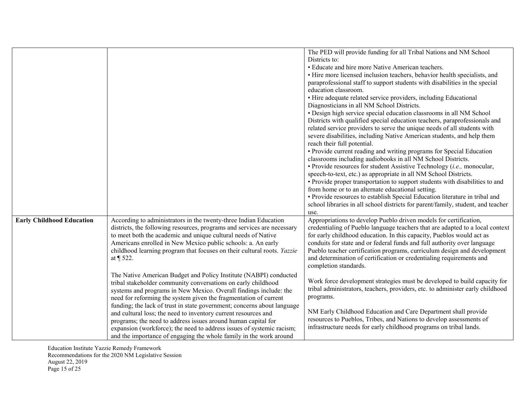|                                  |                                                                                                                                                                                                                                                                                                                                                                                                                                                                                                                                                                                                                                          | The PED will provide funding for all Tribal Nations and NM School<br>Districts to:<br>• Educate and hire more Native American teachers.<br>• Hire more licensed inclusion teachers, behavior health specialists, and<br>paraprofessional staff to support students with disabilities in the special<br>education classroom.<br>• Hire adequate related service providers, including Educational<br>Diagnosticians in all NM School Districts.<br>· Design high service special education classrooms in all NM School<br>Districts with qualified special education teachers, paraprofessionals and<br>related service providers to serve the unique needs of all students with<br>severe disabilities, including Native American students, and help them<br>reach their full potential.<br>• Provide current reading and writing programs for Special Education<br>classrooms including audiobooks in all NM School Districts.<br>$\bullet$ Provide resources for student Assistive Technology ( <i>i.e.</i> , monocular,<br>speech-to-text, etc.) as appropriate in all NM School Districts.<br>• Provide proper transportation to support students with disabilities to and<br>from home or to an alternate educational setting.<br>• Provide resources to establish Special Education literature in tribal and<br>school libraries in all school districts for parent/family, student, and teacher |
|----------------------------------|------------------------------------------------------------------------------------------------------------------------------------------------------------------------------------------------------------------------------------------------------------------------------------------------------------------------------------------------------------------------------------------------------------------------------------------------------------------------------------------------------------------------------------------------------------------------------------------------------------------------------------------|-------------------------------------------------------------------------------------------------------------------------------------------------------------------------------------------------------------------------------------------------------------------------------------------------------------------------------------------------------------------------------------------------------------------------------------------------------------------------------------------------------------------------------------------------------------------------------------------------------------------------------------------------------------------------------------------------------------------------------------------------------------------------------------------------------------------------------------------------------------------------------------------------------------------------------------------------------------------------------------------------------------------------------------------------------------------------------------------------------------------------------------------------------------------------------------------------------------------------------------------------------------------------------------------------------------------------------------------------------------------------------------------------------|
| <b>Early Childhood Education</b> | According to administrators in the twenty-three Indian Education<br>districts, the following resources, programs and services are necessary<br>to meet both the academic and unique cultural needs of Native<br>Americans enrolled in New Mexico public schools: a. An early<br>childhood learning program that focuses on their cultural roots. Yazzie<br>at ¶ 522.                                                                                                                                                                                                                                                                     | use.<br>Appropriations to develop Pueblo driven models for certification,<br>credentialing of Pueblo language teachers that are adapted to a local context<br>for early childhood education. In this capacity, Pueblos would act as<br>conduits for state and or federal funds and full authority over language<br>Pueblo teacher certification programs, curriculum design and development<br>and determination of certification or credentialing requirements and<br>completion standards.                                                                                                                                                                                                                                                                                                                                                                                                                                                                                                                                                                                                                                                                                                                                                                                                                                                                                                          |
|                                  | The Native American Budget and Policy Institute (NABPI) conducted<br>tribal stakeholder community conversations on early childhood<br>systems and programs in New Mexico. Overall findings include: the<br>need for reforming the system given the fragmentation of current<br>funding; the lack of trust in state government; concerns about language<br>and cultural loss; the need to inventory current resources and<br>programs; the need to address issues around human capital for<br>expansion (workforce); the need to address issues of systemic racism;<br>and the importance of engaging the whole family in the work around | Work force development strategies must be developed to build capacity for<br>tribal administrators, teachers, providers, etc. to administer early childhood<br>programs.<br>NM Early Childhood Education and Care Department shall provide<br>resources to Pueblos, Tribes, and Nations to develop assessments of<br>infrastructure needs for early childhood programs on tribal lands.                                                                                                                                                                                                                                                                                                                                                                                                                                                                                                                                                                                                                                                                                                                                                                                                                                                                                                                                                                                                               |

Education Institute Yazzie Remedy Framework Recommendations for the 2020 NM Legislative Session August 22, 2019 Page 15 of 25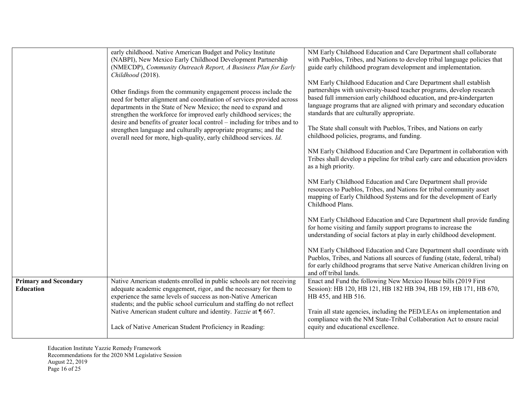|                                                  | early childhood. Native American Budget and Policy Institute<br>(NABPI), New Mexico Early Childhood Development Partnership<br>(NMECDP), Community Outreach Report, A Business Plan for Early<br>Childhood (2018).<br>Other findings from the community engagement process include the<br>need for better alignment and coordination of services provided across<br>departments in the State of New Mexico; the need to expand and<br>strengthen the workforce for improved early childhood services; the<br>desire and benefits of greater local control – including for tribes and to<br>strengthen language and culturally appropriate programs; and the<br>overall need for more, high-quality, early childhood services. Id. | NM Early Childhood Education and Care Department shall collaborate<br>with Pueblos, Tribes, and Nations to develop tribal language policies that<br>guide early childhood program development and implementation.<br>NM Early Childhood Education and Care Department shall establish<br>partnerships with university-based teacher programs, develop research<br>based full immersion early childhood education, and pre-kindergarten<br>language programs that are aligned with primary and secondary education<br>standards that are culturally appropriate.<br>The State shall consult with Pueblos, Tribes, and Nations on early<br>childhood policies, programs, and funding.<br>NM Early Childhood Education and Care Department in collaboration with<br>Tribes shall develop a pipeline for tribal early care and education providers<br>as a high priority.<br>NM Early Childhood Education and Care Department shall provide<br>resources to Pueblos, Tribes, and Nations for tribal community asset<br>mapping of Early Childhood Systems and for the development of Early<br>Childhood Plans.<br>NM Early Childhood Education and Care Department shall provide funding<br>for home visiting and family support programs to increase the<br>understanding of social factors at play in early childhood development.<br>NM Early Childhood Education and Care Department shall coordinate with<br>Pueblos, Tribes, and Nations all sources of funding (state, federal, tribal)<br>for early childhood programs that serve Native American children living on |
|--------------------------------------------------|-----------------------------------------------------------------------------------------------------------------------------------------------------------------------------------------------------------------------------------------------------------------------------------------------------------------------------------------------------------------------------------------------------------------------------------------------------------------------------------------------------------------------------------------------------------------------------------------------------------------------------------------------------------------------------------------------------------------------------------|--------------------------------------------------------------------------------------------------------------------------------------------------------------------------------------------------------------------------------------------------------------------------------------------------------------------------------------------------------------------------------------------------------------------------------------------------------------------------------------------------------------------------------------------------------------------------------------------------------------------------------------------------------------------------------------------------------------------------------------------------------------------------------------------------------------------------------------------------------------------------------------------------------------------------------------------------------------------------------------------------------------------------------------------------------------------------------------------------------------------------------------------------------------------------------------------------------------------------------------------------------------------------------------------------------------------------------------------------------------------------------------------------------------------------------------------------------------------------------------------------------------------------------------------------------------------------|
| <b>Primary and Secondary</b><br><b>Education</b> | Native American students enrolled in public schools are not receiving<br>adequate academic engagement, rigor, and the necessary for them to                                                                                                                                                                                                                                                                                                                                                                                                                                                                                                                                                                                       | and off tribal lands.<br>Enact and Fund the following New Mexico House bills (2019 First<br>Session): HB 120, HB 121, HB 182 HB 394, HB 159, HB 171, HB 670,                                                                                                                                                                                                                                                                                                                                                                                                                                                                                                                                                                                                                                                                                                                                                                                                                                                                                                                                                                                                                                                                                                                                                                                                                                                                                                                                                                                                             |
|                                                  | experience the same levels of success as non-Native American<br>students; and the public school curriculum and staffing do not reflect<br>Native American student culture and identity. Yazzie at ¶ 667.<br>Lack of Native American Student Proficiency in Reading:                                                                                                                                                                                                                                                                                                                                                                                                                                                               | HB 455, and HB 516.<br>Train all state agencies, including the PED/LEAs on implementation and<br>compliance with the NM State-Tribal Collaboration Act to ensure racial<br>equity and educational excellence.                                                                                                                                                                                                                                                                                                                                                                                                                                                                                                                                                                                                                                                                                                                                                                                                                                                                                                                                                                                                                                                                                                                                                                                                                                                                                                                                                            |

Education Institute Yazzie Remedy Framework Recommendations for the 2020 NM Legislative Session August 22, 2019 Page 16 of 25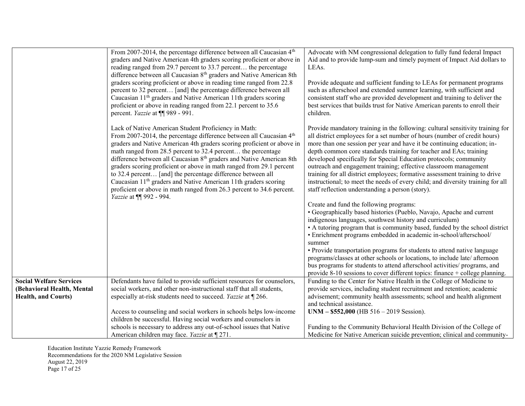|                                | From 2007-2014, the percentage difference between all Caucasian 4 <sup>th</sup>                 | Advocate with NM congressional delegation to fully fund federal Impact           |
|--------------------------------|-------------------------------------------------------------------------------------------------|----------------------------------------------------------------------------------|
|                                | graders and Native American 4th graders scoring proficient or above in                          | Aid and to provide lump-sum and timely payment of Impact Aid dollars to          |
|                                | reading ranged from 29.7 percent to 33.7 percent the percentage                                 | LEAs.                                                                            |
|                                | difference between all Caucasian 8 <sup>th</sup> graders and Native American 8th                |                                                                                  |
|                                | graders scoring proficient or above in reading time ranged from 22.8                            | Provide adequate and sufficient funding to LEAs for permanent programs           |
|                                | percent to 32 percent [and] the percentage difference between all                               | such as afterschool and extended summer learning, with sufficient and            |
|                                | Caucasian 11 <sup>th</sup> graders and Native American 11th graders scoring                     | consistent staff who are provided development and training to deliver the        |
|                                | proficient or above in reading ranged from 22.1 percent to 35.6                                 | best services that builds trust for Native American parents to enroll their      |
|                                | percent. Yazzie at ¶¶ 989 - 991.                                                                | children.                                                                        |
|                                |                                                                                                 |                                                                                  |
|                                | Lack of Native American Student Proficiency in Math:                                            | Provide mandatory training in the following: cultural sensitivity training for   |
|                                | From 2007-2014, the percentage difference between all Caucasian 4 <sup>th</sup>                 | all district employees for a set number of hours (number of credit hours)        |
|                                | graders and Native American 4th graders scoring proficient or above in                          | more than one session per year and have it be continuing education; in-          |
|                                | math ranged from 28.5 percent to 32.4 percent the percentage                                    | depth common core standards training for teacher and EAs; training               |
|                                | difference between all Caucasian 8 <sup>th</sup> graders and Native American 8th                | developed specifically for Special Education protocols; community                |
|                                | graders scoring proficient or above in math ranged from 29.1 percent                            | outreach and engagement training; effective classroom management                 |
|                                | to 32.4 percent [and] the percentage difference between all                                     | training for all district employees; formative assessment training to drive      |
|                                | Caucasian 11 <sup>th</sup> graders and Native American 11th graders scoring                     | instructional; to meet the needs of every child; and diversity training for all  |
|                                | proficient or above in math ranged from 26.3 percent to 34.6 percent.<br>Yazzie at ¶ 992 - 994. | staff reflection understanding a person (story).                                 |
|                                |                                                                                                 | Create and fund the following programs:                                          |
|                                |                                                                                                 | • Geographically based histories (Pueblo, Navajo, Apache and current             |
|                                |                                                                                                 | indigenous languages, southwest history and curriculum)                          |
|                                |                                                                                                 | • A tutoring program that is community based, funded by the school district      |
|                                |                                                                                                 | • Enrichment programs embedded in academic in-school/afterschool/                |
|                                |                                                                                                 | summer                                                                           |
|                                |                                                                                                 | · Provide transportation programs for students to attend native language         |
|                                |                                                                                                 | programs/classes at other schools or locations, to include late/ afternoon       |
|                                |                                                                                                 | bus programs for students to attend afterschool activities/ programs, and        |
|                                |                                                                                                 | provide $8-10$ sessions to cover different topics: finance $+$ college planning. |
| <b>Social Welfare Services</b> | Defendants have failed to provide sufficient resources for counselors,                          | Funding to the Center for Native Health in the College of Medicine to            |
| (Behavioral Health, Mental     | social workers, and other non-instructional staff that all students,                            | provide services, including student recruitment and retention; academic          |
| <b>Health, and Courts)</b>     | especially at-risk students need to succeed. Yazzie at [266.]                                   | advisement; community health assessments; school and health alignment            |
|                                |                                                                                                 | and technical assistance.                                                        |
|                                | Access to counseling and social workers in schools helps low-income                             | $UNM - $552,000$ (HB $516 - 2019$ Session).                                      |
|                                | children be successful. Having social workers and counselors in                                 |                                                                                  |
|                                | schools is necessary to address any out-of-school issues that Native                            | Funding to the Community Behavioral Health Division of the College of            |
|                                | American children may face. Yazzie at [271]                                                     | Medicine for Native American suicide prevention; clinical and community-         |

Education Institute Yazzie Remedy Framework Recommendations for the 2020 NM Legislative Session August 22, 2019 Page 17 of 25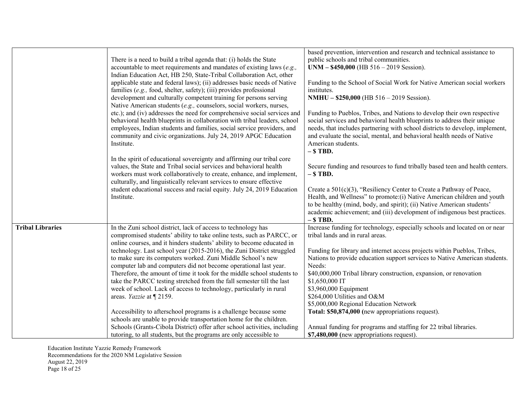|                         | There is a need to build a tribal agenda that: (i) holds the State<br>accountable to meet requirements and mandates of existing laws (e.g.,<br>Indian Education Act, HB 250, State-Tribal Collaboration Act, other<br>applicable state and federal laws); (ii) addresses basic needs of Native<br>families (e.g., food, shelter, safety); (iii) provides professional<br>development and culturally competent training for persons serving<br>Native American students (e.g., counselors, social workers, nurses,<br>etc.); and (iv) addresses the need for comprehensive social services and<br>behavioral health blueprints in collaboration with tribal leaders, school<br>employees, Indian students and families, social service providers, and<br>community and civic organizations. July 24, 2019 APGC Education<br>Institute.<br>In the spirit of educational sovereignty and affirming our tribal core<br>values, the State and Tribal social services and behavioral health<br>workers must work collaboratively to create, enhance, and implement,<br>culturally, and linguistically relevant services to ensure effective<br>student educational success and racial equity. July 24, 2019 Education<br>Institute. | based prevention, intervention and research and technical assistance to<br>public schools and tribal communities.<br>$UNM - $450,000$ (HB $516 - 2019$ Session).<br>Funding to the School of Social Work for Native American social workers<br>institutes.<br><b>NMHU - \$250,000</b> (HB 516 - 2019 Session).<br>Funding to Pueblos, Tribes, and Nations to develop their own respective<br>social services and behavioral health blueprints to address their unique<br>needs, that includes partnering with school districts to develop, implement,<br>and evaluate the social, mental, and behavioral health needs of Native<br>American students.<br>$-$ \$TBD.<br>Secure funding and resources to fund tribally based teen and health centers.<br>$-$ \$TBD.<br>Create a 501(c)(3), "Resiliency Center to Create a Pathway of Peace,<br>Health, and Wellness" to promote: (i) Native American children and youth<br>to be healthy (mind, body, and spirit); (ii) Native American students'<br>academic achievement; and (iii) development of indigenous best practices. |
|-------------------------|-------------------------------------------------------------------------------------------------------------------------------------------------------------------------------------------------------------------------------------------------------------------------------------------------------------------------------------------------------------------------------------------------------------------------------------------------------------------------------------------------------------------------------------------------------------------------------------------------------------------------------------------------------------------------------------------------------------------------------------------------------------------------------------------------------------------------------------------------------------------------------------------------------------------------------------------------------------------------------------------------------------------------------------------------------------------------------------------------------------------------------------------------------------------------------------------------------------------------------|------------------------------------------------------------------------------------------------------------------------------------------------------------------------------------------------------------------------------------------------------------------------------------------------------------------------------------------------------------------------------------------------------------------------------------------------------------------------------------------------------------------------------------------------------------------------------------------------------------------------------------------------------------------------------------------------------------------------------------------------------------------------------------------------------------------------------------------------------------------------------------------------------------------------------------------------------------------------------------------------------------------------------------------------------------------------------|
| <b>Tribal Libraries</b> | In the Zuni school district, lack of access to technology has<br>compromised students' ability to take online tests, such as PARCC, or<br>online courses, and it hinders students' ability to become educated in<br>technology. Last school year (2015-2016), the Zuni District struggled<br>to make sure its computers worked. Zuni Middle School's new<br>computer lab and computers did not become operational last year.<br>Therefore, the amount of time it took for the middle school students to<br>take the PARCC testing stretched from the fall semester till the last<br>week of school. Lack of access to technology, particularly in rural<br>areas. Yazzie at [2159.<br>Accessibility to afterschool programs is a challenge because some<br>schools are unable to provide transportation home for the children.<br>Schools (Grants-Cibola District) offer after school activities, including                                                                                                                                                                                                                                                                                                                   | $-$ \$ TBD.<br>Increase funding for technology, especially schools and located on or near<br>tribal lands and in rural areas.<br>Funding for library and internet access projects within Pueblos, Tribes,<br>Nations to provide education support services to Native American students.<br>Needs:<br>\$40,000,000 Tribal library construction, expansion, or renovation<br>\$1,650,000 IT<br>\$3,960,000 Equipment<br>\$264,000 Utilities and O&M<br>\$5,000,000 Regional Education Network<br>Total: \$50,874,000 (new appropriations request).<br>Annual funding for programs and staffing for 22 tribal libraries.                                                                                                                                                                                                                                                                                                                                                                                                                                                        |
|                         | tutoring, to all students, but the programs are only accessible to                                                                                                                                                                                                                                                                                                                                                                                                                                                                                                                                                                                                                                                                                                                                                                                                                                                                                                                                                                                                                                                                                                                                                            | \$7,480,000 (new appropriations request).                                                                                                                                                                                                                                                                                                                                                                                                                                                                                                                                                                                                                                                                                                                                                                                                                                                                                                                                                                                                                                    |

Education Institute Yazzie Remedy Framework Recommendations for the 2020 NM Legislative Session August 22, 2019 Page 18 of 25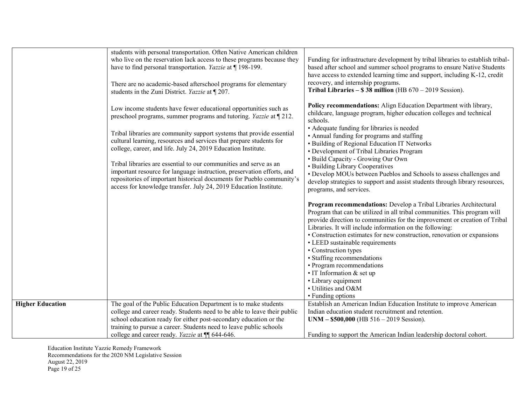|                         | students with personal transportation. Often Native American children    |                                                                                 |
|-------------------------|--------------------------------------------------------------------------|---------------------------------------------------------------------------------|
|                         | who live on the reservation lack access to these programs because they   | Funding for infrastructure development by tribal libraries to establish tribal- |
|                         | have to find personal transportation. Yazzie at ¶ 198-199.               | based after school and summer school programs to ensure Native Students         |
|                         |                                                                          | have access to extended learning time and support, including K-12, credit       |
|                         |                                                                          | recovery, and internship programs.                                              |
|                         | There are no academic-based afterschool programs for elementary          | Tribal Libraries $-$ \$38 million (HB $670 - 2019$ Session).                    |
|                         | students in the Zuni District. Yazzie at ¶ 207.                          |                                                                                 |
|                         |                                                                          | Policy recommendations: Align Education Department with library,                |
|                         | Low income students have fewer educational opportunities such as         | childcare, language program, higher education colleges and technical            |
|                         | preschool programs, summer programs and tutoring. Yazzie at 1212.        | schools.                                                                        |
|                         |                                                                          | • Adequate funding for libraries is needed                                      |
|                         | Tribal libraries are community support systems that provide essential    | • Annual funding for programs and staffing                                      |
|                         | cultural learning, resources and services that prepare students for      | • Building of Regional Education IT Networks                                    |
|                         | college, career, and life. July 24, 2019 Education Institute.            | • Development of Tribal Libraries Program                                       |
|                         |                                                                          | • Build Capacity - Growing Our Own                                              |
|                         | Tribal libraries are essential to our communities and serve as an        | • Building Library Cooperatives                                                 |
|                         | important resource for language instruction, preservation efforts, and   | • Develop MOUs between Pueblos and Schools to assess challenges and             |
|                         | repositories of important historical documents for Pueblo community's    |                                                                                 |
|                         | access for knowledge transfer. July 24, 2019 Education Institute.        | develop strategies to support and assist students through library resources,    |
|                         |                                                                          | programs, and services.                                                         |
|                         |                                                                          | Program recommendations: Develop a Tribal Libraries Architectural               |
|                         |                                                                          | Program that can be utilized in all tribal communities. This program will       |
|                         |                                                                          |                                                                                 |
|                         |                                                                          | provide direction to communities for the improvement or creation of Tribal      |
|                         |                                                                          | Libraries. It will include information on the following:                        |
|                         |                                                                          | • Construction estimates for new construction, renovation or expansions         |
|                         |                                                                          | • LEED sustainable requirements                                                 |
|                         |                                                                          | • Construction types                                                            |
|                         |                                                                          | • Staffing recommendations                                                      |
|                         |                                                                          | • Program recommendations                                                       |
|                         |                                                                          | $\cdot$ IT Information & set up                                                 |
|                         |                                                                          | • Library equipment                                                             |
|                         |                                                                          | • Utilities and O&M                                                             |
|                         |                                                                          | • Funding options                                                               |
| <b>Higher Education</b> | The goal of the Public Education Department is to make students          | Establish an American Indian Education Institute to improve American            |
|                         | college and career ready. Students need to be able to leave their public | Indian education student recruitment and retention.                             |
|                         | school education ready for either post-secondary education or the        | $UNM - $500,000$ (HB $516 - 2019$ Session).                                     |
|                         | training to pursue a career. Students need to leave public schools       |                                                                                 |
|                         | college and career ready. Yazzie at ¶ 644-646.                           | Funding to support the American Indian leadership doctoral cohort.              |

Education Institute Yazzie Remedy Framework Recommendations for the 2020 NM Legislative Session August 22, 2019 Page 19 of 25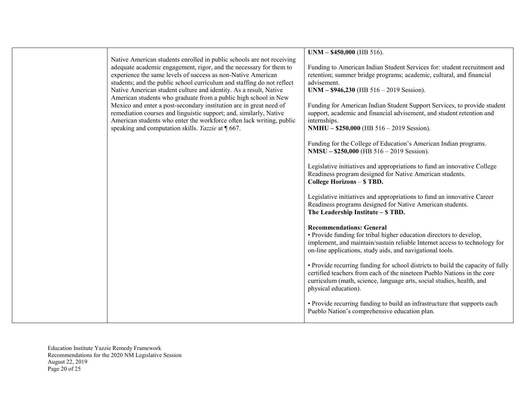|                                                                                                                                    | $UNM - $450,000$ (HB 516).                                                                                                                                 |
|------------------------------------------------------------------------------------------------------------------------------------|------------------------------------------------------------------------------------------------------------------------------------------------------------|
| Native American students enrolled in public schools are not receiving                                                              |                                                                                                                                                            |
| adequate academic engagement, rigor, and the necessary for them to<br>experience the same levels of success as non-Native American | Funding to American Indian Student Services for: student recruitment and<br>retention; summer bridge programs; academic, cultural, and financial           |
| students; and the public school curriculum and staffing do not reflect                                                             | advisement.                                                                                                                                                |
| Native American student culture and identity. As a result, Native                                                                  | $UNM - $946,230$ (HB $516 - 2019$ Session).                                                                                                                |
| American students who graduate from a public high school in New                                                                    |                                                                                                                                                            |
| Mexico and enter a post-secondary institution are in great need of                                                                 | Funding for American Indian Student Support Services, to provide student                                                                                   |
| remediation courses and linguistic support; and, similarly, Native                                                                 | support, academic and financial advisement, and student retention and                                                                                      |
| American students who enter the workforce often lack writing, public<br>speaking and computation skills. Yazzie at $\P$ 667.       | internships.<br>NMHU - \$250,000 (HB 516 - 2019 Session).                                                                                                  |
|                                                                                                                                    |                                                                                                                                                            |
|                                                                                                                                    | Funding for the College of Education's American Indian programs.                                                                                           |
|                                                                                                                                    | $NMSU - $250,000$ (HB $516 - 2019$ Session).                                                                                                               |
|                                                                                                                                    |                                                                                                                                                            |
|                                                                                                                                    | Legislative initiatives and appropriations to fund an innovative College                                                                                   |
|                                                                                                                                    | Readiness program designed for Native American students.<br>College Horizons - \$ TBD.                                                                     |
|                                                                                                                                    |                                                                                                                                                            |
|                                                                                                                                    | Legislative initiatives and appropriations to fund an innovative Career                                                                                    |
|                                                                                                                                    | Readiness programs designed for Native American students.                                                                                                  |
|                                                                                                                                    | The Leadership Institute - \$ TBD.                                                                                                                         |
|                                                                                                                                    | <b>Recommendations: General</b>                                                                                                                            |
|                                                                                                                                    | • Provide funding for tribal higher education directors to develop,                                                                                        |
|                                                                                                                                    | implement, and maintain/sustain reliable Internet access to technology for                                                                                 |
|                                                                                                                                    | on-line applications, study aids, and navigational tools.                                                                                                  |
|                                                                                                                                    |                                                                                                                                                            |
|                                                                                                                                    | • Provide recurring funding for school districts to build the capacity of fully<br>certified teachers from each of the nineteen Pueblo Nations in the core |
|                                                                                                                                    | curriculum (math, science, language arts, social studies, health, and                                                                                      |
|                                                                                                                                    | physical education).                                                                                                                                       |
|                                                                                                                                    |                                                                                                                                                            |
|                                                                                                                                    | • Provide recurring funding to build an infrastructure that supports each                                                                                  |
|                                                                                                                                    | Pueblo Nation's comprehensive education plan.                                                                                                              |
|                                                                                                                                    |                                                                                                                                                            |

Education Institute Yazzie Remedy Framework Recommendations for the 2020 NM Legislative Session August 22, 2019 Page 20 of 25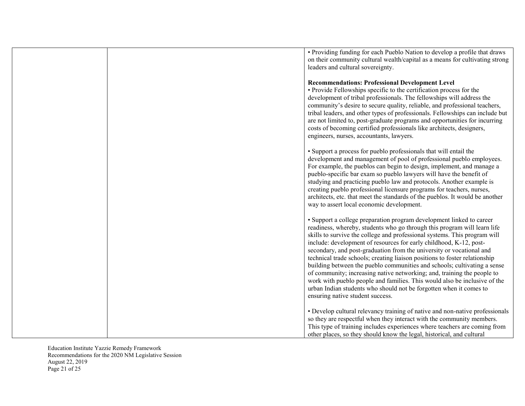| • Providing funding for each Pueblo Nation to develop a profile that draws<br>on their community cultural wealth/capital as a means for cultivating strong<br>leaders and cultural sovereignty.                                                                                                                                                                                                                                                                                                                                                                                                                                                                                                                                                                                                         |
|---------------------------------------------------------------------------------------------------------------------------------------------------------------------------------------------------------------------------------------------------------------------------------------------------------------------------------------------------------------------------------------------------------------------------------------------------------------------------------------------------------------------------------------------------------------------------------------------------------------------------------------------------------------------------------------------------------------------------------------------------------------------------------------------------------|
| <b>Recommendations: Professional Development Level</b><br>• Provide Fellowships specific to the certification process for the<br>development of tribal professionals. The fellowships will address the<br>community's desire to secure quality, reliable, and professional teachers,<br>tribal leaders, and other types of professionals. Fellowships can include but<br>are not limited to, post-graduate programs and opportunities for incurring<br>costs of becoming certified professionals like architects, designers,<br>engineers, nurses, accountants, lawyers.                                                                                                                                                                                                                                |
| • Support a process for pueblo professionals that will entail the<br>development and management of pool of professional pueblo employees.<br>For example, the pueblos can begin to design, implement, and manage a<br>pueblo-specific bar exam so pueblo lawyers will have the benefit of<br>studying and practicing pueblo law and protocols. Another example is<br>creating pueblo professional licensure programs for teachers, nurses,<br>architects, etc. that meet the standards of the pueblos. It would be another<br>way to assert local economic development.                                                                                                                                                                                                                                 |
| • Support a college preparation program development linked to career<br>readiness, whereby, students who go through this program will learn life<br>skills to survive the college and professional systems. This program will<br>include: development of resources for early childhood, K-12, post-<br>secondary, and post-graduation from the university or vocational and<br>technical trade schools; creating liaison positions to foster relationship<br>building between the pueblo communities and schools; cultivating a sense<br>of community; increasing native networking; and, training the people to<br>work with pueblo people and families. This would also be inclusive of the<br>urban Indian students who should not be forgotten when it comes to<br>ensuring native student success. |
| • Develop cultural relevancy training of native and non-native professionals<br>so they are respectful when they interact with the community members.<br>This type of training includes experiences where teachers are coming from<br>other places, so they should know the legal, historical, and cultural                                                                                                                                                                                                                                                                                                                                                                                                                                                                                             |

Education Institute Yazzie Remedy Framework Recommendations for the 2020 NM Legislative Session August 22, 2019 Page 21 of 25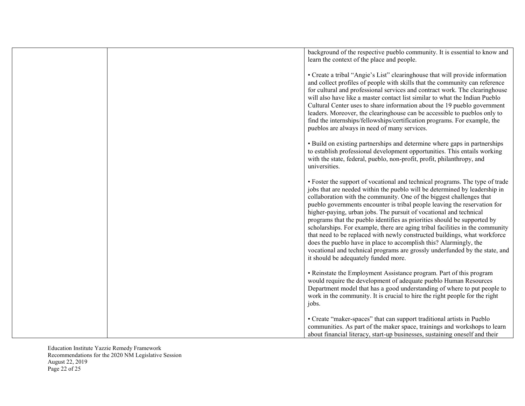| background of the respective pueblo community. It is essential to know and<br>learn the context of the place and people.                                                                                                                                                                                                                                                                                                                                                                                                                                                                                                                                                                                                                                                                                                    |
|-----------------------------------------------------------------------------------------------------------------------------------------------------------------------------------------------------------------------------------------------------------------------------------------------------------------------------------------------------------------------------------------------------------------------------------------------------------------------------------------------------------------------------------------------------------------------------------------------------------------------------------------------------------------------------------------------------------------------------------------------------------------------------------------------------------------------------|
| • Create a tribal "Angie's List" clearinghouse that will provide information<br>and collect profiles of people with skills that the community can reference<br>for cultural and professional services and contract work. The clearinghouse<br>will also have like a master contact list similar to what the Indian Pueblo<br>Cultural Center uses to share information about the 19 pueblo government<br>leaders. Moreover, the clearinghouse can be accessible to pueblos only to<br>find the internships/fellowships/certification programs. For example, the<br>pueblos are always in need of many services.                                                                                                                                                                                                             |
| • Build on existing partnerships and determine where gaps in partnerships<br>to establish professional development opportunities. This entails working<br>with the state, federal, pueblo, non-profit, profit, philanthropy, and<br>universities.                                                                                                                                                                                                                                                                                                                                                                                                                                                                                                                                                                           |
| • Foster the support of vocational and technical programs. The type of trade<br>jobs that are needed within the pueblo will be determined by leadership in<br>collaboration with the community. One of the biggest challenges that<br>pueblo governments encounter is tribal people leaving the reservation for<br>higher-paying, urban jobs. The pursuit of vocational and technical<br>programs that the pueblo identifies as priorities should be supported by<br>scholarships. For example, there are aging tribal facilities in the community<br>that need to be replaced with newly constructed buildings, what workforce<br>does the pueblo have in place to accomplish this? Alarmingly, the<br>vocational and technical programs are grossly underfunded by the state, and<br>it should be adequately funded more. |
| • Reinstate the Employment Assistance program. Part of this program<br>would require the development of adequate pueblo Human Resources<br>Department model that has a good understanding of where to put people to<br>work in the community. It is crucial to hire the right people for the right<br>jobs.                                                                                                                                                                                                                                                                                                                                                                                                                                                                                                                 |
| • Create "maker-spaces" that can support traditional artists in Pueblo<br>communities. As part of the maker space, trainings and workshops to learn<br>about financial literacy, start-up businesses, sustaining oneself and their                                                                                                                                                                                                                                                                                                                                                                                                                                                                                                                                                                                          |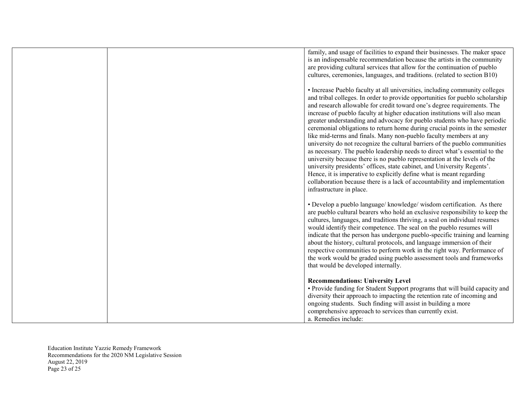| family, and usage of facilities to expand their businesses. The maker space<br>is an indispensable recommendation because the artists in the community<br>are providing cultural services that allow for the continuation of pueblo<br>cultures, ceremonies, languages, and traditions. (related to section B10)                                                                                                                                                                                                                                                                                                                                                                                                                                                                                                                                                                                                                                                                                                                                              |
|---------------------------------------------------------------------------------------------------------------------------------------------------------------------------------------------------------------------------------------------------------------------------------------------------------------------------------------------------------------------------------------------------------------------------------------------------------------------------------------------------------------------------------------------------------------------------------------------------------------------------------------------------------------------------------------------------------------------------------------------------------------------------------------------------------------------------------------------------------------------------------------------------------------------------------------------------------------------------------------------------------------------------------------------------------------|
| • Increase Pueblo faculty at all universities, including community colleges<br>and tribal colleges. In order to provide opportunities for pueblo scholarship<br>and research allowable for credit toward one's degree requirements. The<br>increase of pueblo faculty at higher education institutions will also mean<br>greater understanding and advocacy for pueblo students who have periodic<br>ceremonial obligations to return home during crucial points in the semester<br>like mid-terms and finals. Many non-pueblo faculty members at any<br>university do not recognize the cultural barriers of the pueblo communities<br>as necessary. The pueblo leadership needs to direct what's essential to the<br>university because there is no pueblo representation at the levels of the<br>university presidents' offices, state cabinet, and University Regents'.<br>Hence, it is imperative to explicitly define what is meant regarding<br>collaboration because there is a lack of accountability and implementation<br>infrastructure in place. |
| · Develop a pueblo language/ knowledge/ wisdom certification. As there<br>are pueblo cultural bearers who hold an exclusive responsibility to keep the<br>cultures, languages, and traditions thriving, a seal on individual resumes<br>would identify their competence. The seal on the pueblo resumes will<br>indicate that the person has undergone pueblo-specific training and learning<br>about the history, cultural protocols, and language immersion of their<br>respective communities to perform work in the right way. Performance of<br>the work would be graded using pueblo assessment tools and frameworks<br>that would be developed internally.                                                                                                                                                                                                                                                                                                                                                                                             |
| <b>Recommendations: University Level</b><br>• Provide funding for Student Support programs that will build capacity and<br>diversity their approach to impacting the retention rate of incoming and<br>ongoing students. Such finding will assist in building a more<br>comprehensive approach to services than currently exist.<br>a. Remedies include:                                                                                                                                                                                                                                                                                                                                                                                                                                                                                                                                                                                                                                                                                                      |

Education Institute Yazzie Remedy Framework Recommendations for the 2020 NM Legislative Session August 22, 2019 Page 23 of 25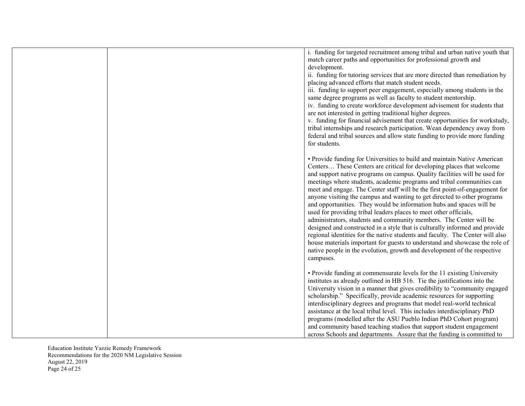| i. funding for targeted recruitment among tribal and urban native youth that<br>match career paths and opportunities for professional growth and<br>development.<br>ii. funding for tutoring services that are more directed than remediation by<br>placing advanced efforts that match student needs.<br>iii. funding to support peer engagement, especially among students in the<br>same degree programs as well as faculty to student mentorship.<br>iv. funding to create workforce development advisement for students that<br>are not interested in getting traditional higher degrees.<br>v. funding for financial advisement that create opportunities for workstudy,<br>tribal internships and research participation. Wean dependency away from<br>federal and tribal sources and allow state funding to provide more funding<br>for students.                                                                                                                                                                      |
|--------------------------------------------------------------------------------------------------------------------------------------------------------------------------------------------------------------------------------------------------------------------------------------------------------------------------------------------------------------------------------------------------------------------------------------------------------------------------------------------------------------------------------------------------------------------------------------------------------------------------------------------------------------------------------------------------------------------------------------------------------------------------------------------------------------------------------------------------------------------------------------------------------------------------------------------------------------------------------------------------------------------------------|
| • Provide funding for Universities to build and maintain Native American<br>Centers These Centers are critical for developing places that welcome<br>and support native programs on campus. Quality facilities will be used for<br>meetings where students, academic programs and tribal communities can<br>meet and engage. The Center staff will be the first point-of-engagement for<br>anyone visiting the campus and wanting to get directed to other programs<br>and opportunities. They would be information hubs and spaces will be<br>used for providing tribal leaders places to meet other officials,<br>administrators, students and community members. The Center will be<br>designed and constructed in a style that is culturally informed and provide<br>regional identities for the native students and faculty. The Center will also<br>house materials important for guests to understand and showcase the role of<br>native people in the evolution, growth and development of the respective<br>campuses. |
| • Provide funding at commensurate levels for the 11 existing University<br>institutes as already outlined in HB 516. Tie the justifications into the<br>University vision in a manner that gives credibility to "community engaged<br>scholarship." Specifically, provide academic resources for supporting<br>interdisciplinary degrees and programs that model real-world technical<br>assistance at the local tribal level. This includes interdisciplinary PhD<br>programs (modelled after the ASU Pueblo Indian PhD Cohort program)<br>and community based teaching studios that support student engagement<br>across Schools and departments. Assure that the funding is committed to                                                                                                                                                                                                                                                                                                                                    |